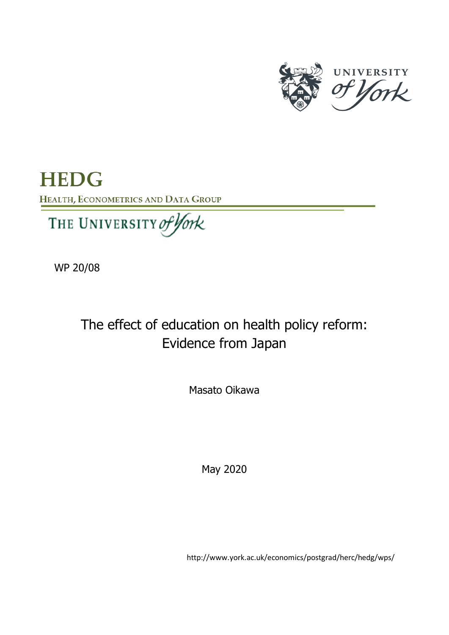

**HEDG** HEALTH, ECONOMETRICS AND DATA GROUP

We 200 Million

WP 20/08

The effect of education on health policy reform: Evidence from Japan

Masato Oikawa

May 2020

http://www.york.ac.uk/economics/postgrad/herc/hedg/wps/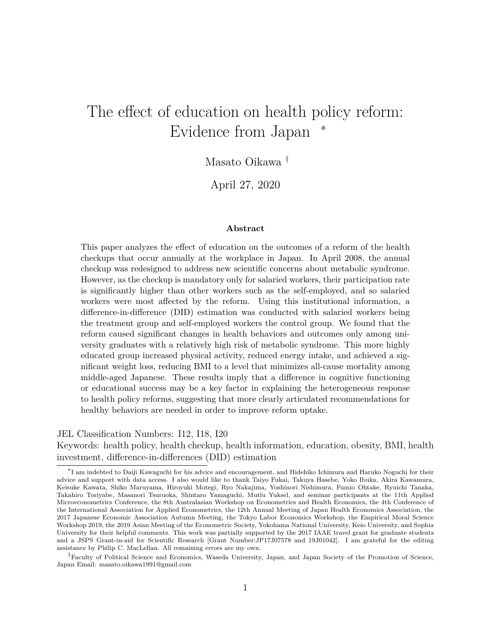# The effect of education on health policy reform: Evidence from Japan

Masato Oikawa †

April 27, 2020

#### **Abstract**

This paper analyzes the effect of education on the outcomes of a reform of the health checkups that occur annually at the workplace in Japan. In April 2008, the annual checkup was redesigned to address new scientific concerns about metabolic syndrome. However, as the checkup is mandatory only for salaried workers, their participation rate is significantly higher than other workers such as the self-employed, and so salaried workers were most affected by the reform. Using this institutional information, a difference-in-difference (DID) estimation was conducted with salaried workers being the treatment group and self-employed workers the control group. We found that the reform caused significant changes in health behaviors and outcomes only among university graduates with a relatively high risk of metabolic syndrome. This more highly educated group increased physical activity, reduced energy intake, and achieved a significant weight loss, reducing BMI to a level that minimizes all-cause mortality among middle-aged Japanese. These results imply that a difference in cognitive functioning or educational success may be a key factor in explaining the heterogeneous response to health policy reforms, suggesting that more clearly articulated recommendations for healthy behaviors are needed in order to improve reform uptake.

JEL Classification Numbers: I12, I18, I20

Keywords: health policy, health checkup, health information, education, obesity, BMI, health investment, difference-in-differences (DID) estimation

<sup>∗</sup> I am indebted to Daiji Kawaguchi for his advice and encouragement, and Hidehiko Ichimura and Haruko Noguchi for their advice and support with data access. I also would like to thank Taiyo Fukai, Takuya Hasebe, Yoko Ibuka, Akira Kawamura, Keisuke Kawata, Shiko Maruyama, Hiroyuki Motegi, Ryo Nakajima, Yoshinori Nishimura, Fumio Ohtake, Ryuichi Tanaka, Takahiro Toriyabe, Masanori Tsuruoka, Shintaro Yamaguchi, Mutlu Yuksel, and seminar participants at the 11th Applied Microeconometrics Conference, the 8th Australasian Workshop on Econometrics and Health Economics, the 4th Conference of the International Association for Applied Econometrics, the 12th Annual Meeting of Japan Health Economics Association, the 2017 Japanese Economic Association Autumn Meeting, the Tokyo Labor Economics Workshop, the Empirical Moral Science Workshop 2019, the 2019 Asian Meeting of the Econometric Society, Yokohama National University, Keio University, and Sophia University for their helpful comments. This work was partially supported by the 2017 IAAE travel grant for graduate students and a JSPS Grant-in-aid for Scientific Research [Grant Number:JP17J07578 and 19J01042]. I am grateful for the editing assistance by Philip C. MacLellan. All remaining errors are my own.

<sup>†</sup>Faculty of Political Science and Economics, Waseda University, Japan, and Japan Society of the Promotion of Science, Japan Email: masato.oikawa1991@gmail.com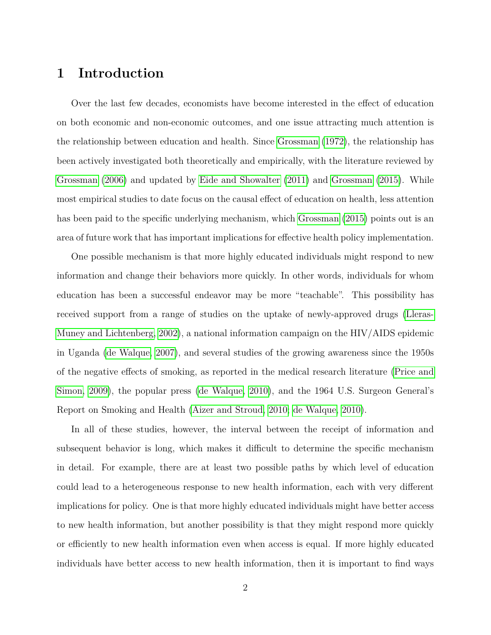# **1 Introduction**

Over the last few decades, economists have become interested in the effect of education on both economic and non-economic outcomes, and one issue attracting much attention is the relationship between education and health. Since [Grossman \(1972\)](#page-48-0), the relationship has been actively investigated both theoretically and empirically, with the literature reviewed by [Grossman \(2006\)](#page-48-1) and updated by [Eide and Showalter \(2011\)](#page-47-0) and [Grossman \(2015\)](#page-48-2). While most empirical studies to date focus on the causal effect of education on health, less attention has been paid to the specific underlying mechanism, which [Grossman \(2015\)](#page-48-2) points out is an area of future work that has important implications for effective health policy implementation.

One possible mechanism is that more highly educated individuals might respond to new information and change their behaviors more quickly. In other words, individuals for whom education has been a successful endeavor may be more "teachable". This possibility has received support from a range of studies on the uptake of newly-approved drugs [\(Lleras-](#page-49-0)[Muney and Lichtenberg, 2002\)](#page-49-0), a national information campaign on the HIV/AIDS epidemic in Uganda [\(de Walque, 2007\)](#page-47-1), and several studies of the growing awareness since the 1950s of the negative effects of smoking, as reported in the medical research literature [\(Price and](#page-49-1) [Simon, 2009\)](#page-49-1), the popular press [\(de Walque, 2010\)](#page-47-2), and the 1964 U.S. Surgeon General's Report on Smoking and Health [\(Aizer and Stroud, 2010;](#page-47-3) [de Walque, 2010\)](#page-47-2).

In all of these studies, however, the interval between the receipt of information and subsequent behavior is long, which makes it difficult to determine the specific mechanism in detail. For example, there are at least two possible paths by which level of education could lead to a heterogeneous response to new health information, each with very different implications for policy. One is that more highly educated individuals might have better access to new health information, but another possibility is that they might respond more quickly or efficiently to new health information even when access is equal. If more highly educated individuals have better access to new health information, then it is important to find ways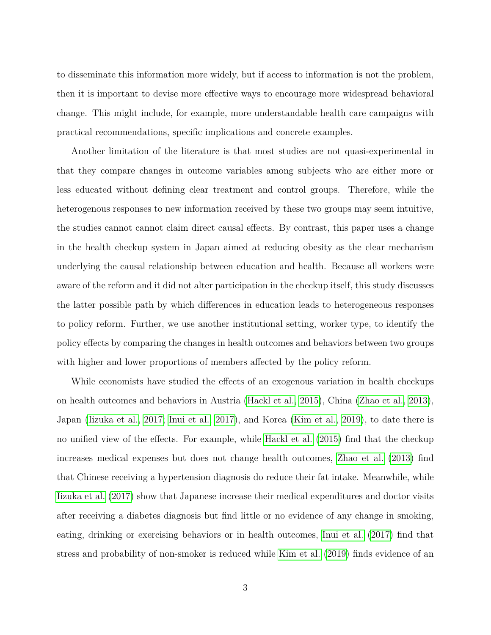to disseminate this information more widely, but if access to information is not the problem, then it is important to devise more effective ways to encourage more widespread behavioral change. This might include, for example, more understandable health care campaigns with practical recommendations, specific implications and concrete examples.

Another limitation of the literature is that most studies are not quasi-experimental in that they compare changes in outcome variables among subjects who are either more or less educated without defining clear treatment and control groups. Therefore, while the heterogenous responses to new information received by these two groups may seem intuitive, the studies cannot cannot claim direct causal effects. By contrast, this paper uses a change in the health checkup system in Japan aimed at reducing obesity as the clear mechanism underlying the causal relationship between education and health. Because all workers were aware of the reform and it did not alter participation in the checkup itself, this study discusses the latter possible path by which differences in education leads to heterogeneous responses to policy reform. Further, we use another institutional setting, worker type, to identify the policy effects by comparing the changes in health outcomes and behaviors between two groups with higher and lower proportions of members affected by the policy reform.

While economists have studied the effects of an exogenous variation in health checkups on health outcomes and behaviors in Austria [\(Hackl et al., 2015\)](#page-48-3), China [\(Zhao et al., 2013\)](#page-50-0), Japan [\(Iizuka et al., 2017;](#page-48-4) [Inui et al., 2017\)](#page-48-5), and Korea [\(Kim et al., 2019\)](#page-48-6), to date there is no unified view of the effects. For example, while [Hackl et al. \(2015\)](#page-48-3) find that the checkup increases medical expenses but does not change health outcomes, [Zhao et al. \(2013\)](#page-50-0) find that Chinese receiving a hypertension diagnosis do reduce their fat intake. Meanwhile, while [Iizuka et al. \(2017\)](#page-48-4) show that Japanese increase their medical expenditures and doctor visits after receiving a diabetes diagnosis but find little or no evidence of any change in smoking, eating, drinking or exercising behaviors or in health outcomes, [Inui et al. \(2017\)](#page-48-5) find that stress and probability of non-smoker is reduced while [Kim et al. \(2019\)](#page-48-6) finds evidence of an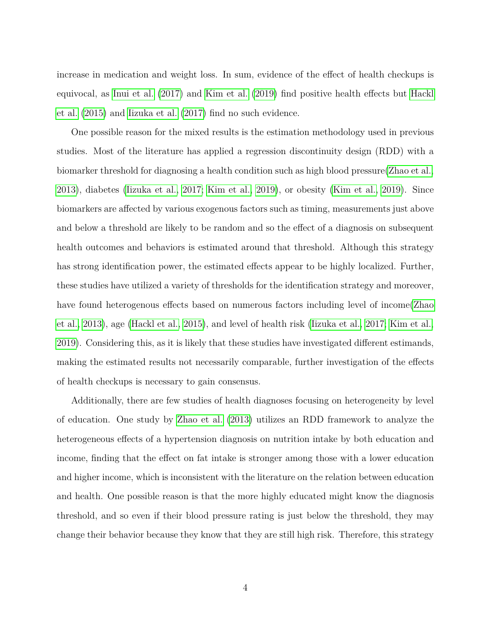increase in medication and weight loss. In sum, evidence of the effect of health checkups is equivocal, as [Inui et al. \(2017\)](#page-48-5) and [Kim et al. \(2019\)](#page-48-6) find positive health effects but [Hackl](#page-48-3) [et al. \(2015\)](#page-48-3) and [Iizuka et al. \(2017\)](#page-48-4) find no such evidence.

One possible reason for the mixed results is the estimation methodology used in previous studies. Most of the literature has applied a regression discontinuity design (RDD) with a biomarker threshold for diagnosing a health condition such as high blood pressure[\(Zhao et al.,](#page-50-0) [2013\)](#page-50-0), diabetes [\(Iizuka et al., 2017;](#page-48-4) [Kim et al., 2019\)](#page-48-6), or obesity [\(Kim et al., 2019\)](#page-48-6). Since biomarkers are affected by various exogenous factors such as timing, measurements just above and below a threshold are likely to be random and so the effect of a diagnosis on subsequent health outcomes and behaviors is estimated around that threshold. Although this strategy has strong identification power, the estimated effects appear to be highly localized. Further, these studies have utilized a variety of thresholds for the identification strategy and moreover, have found heterogenous effects based on numerous factors including level of income[\(Zhao](#page-50-0) [et al., 2013\)](#page-50-0), age [\(Hackl et al., 2015\)](#page-48-3), and level of health risk [\(Iizuka et al., 2017;](#page-48-4) [Kim et al.,](#page-48-6) [2019\)](#page-48-6). Considering this, as it is likely that these studies have investigated different estimands, making the estimated results not necessarily comparable, further investigation of the effects of health checkups is necessary to gain consensus.

Additionally, there are few studies of health diagnoses focusing on heterogeneity by level of education. One study by [Zhao et al. \(2013\)](#page-50-0) utilizes an RDD framework to analyze the heterogeneous effects of a hypertension diagnosis on nutrition intake by both education and income, finding that the effect on fat intake is stronger among those with a lower education and higher income, which is inconsistent with the literature on the relation between education and health. One possible reason is that the more highly educated might know the diagnosis threshold, and so even if their blood pressure rating is just below the threshold, they may change their behavior because they know that they are still high risk. Therefore, this strategy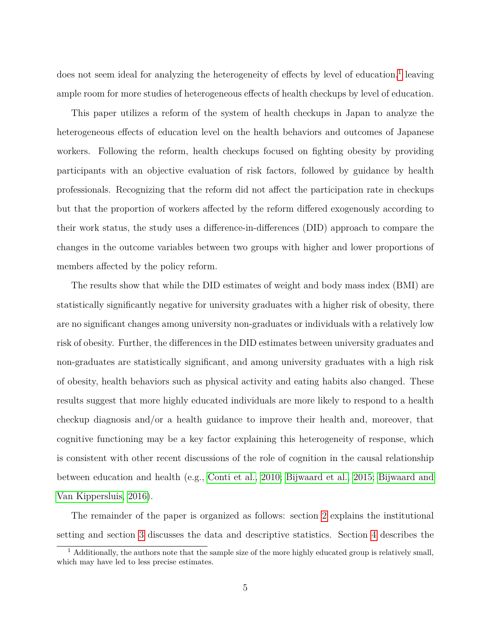does not seem ideal for analyzing the heterogeneity of effects by level of education,<sup>[1](#page-5-0)</sup> leaving ample room for more studies of heterogeneous effects of health checkups by level of education.

This paper utilizes a reform of the system of health checkups in Japan to analyze the heterogeneous effects of education level on the health behaviors and outcomes of Japanese workers. Following the reform, health checkups focused on fighting obesity by providing participants with an objective evaluation of risk factors, followed by guidance by health professionals. Recognizing that the reform did not affect the participation rate in checkups but that the proportion of workers affected by the reform differed exogenously according to their work status, the study uses a difference-in-differences (DID) approach to compare the changes in the outcome variables between two groups with higher and lower proportions of members affected by the policy reform.

The results show that while the DID estimates of weight and body mass index (BMI) are statistically significantly negative for university graduates with a higher risk of obesity, there are no significant changes among university non-graduates or individuals with a relatively low risk of obesity. Further, the differences in the DID estimates between university graduates and non-graduates are statistically significant, and among university graduates with a high risk of obesity, health behaviors such as physical activity and eating habits also changed. These results suggest that more highly educated individuals are more likely to respond to a health checkup diagnosis and/or a health guidance to improve their health and, moreover, that cognitive functioning may be a key factor explaining this heterogeneity of response, which is consistent with other recent discussions of the role of cognition in the causal relationship between education and health (e.g., [Conti et al., 2010;](#page-47-4) [Bijwaard et al., 2015;](#page-47-5) [Bijwaard and](#page-47-6) [Van Kippersluis, 2016\)](#page-47-6).

The remainder of the paper is organized as follows: section [2](#page-6-0) explains the institutional setting and section [3](#page-8-0) discusses the data and descriptive statistics. Section [4](#page-9-0) describes the

<span id="page-5-0"></span> $<sup>1</sup>$  Additionally, the authors note that the sample size of the more highly educated group is relatively small,</sup> which may have led to less precise estimates.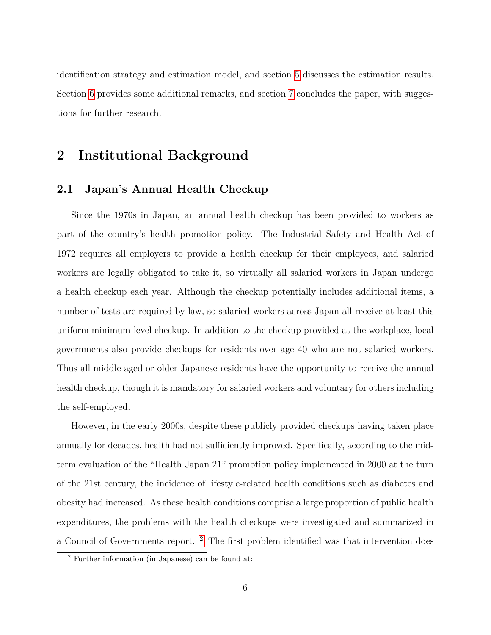identification strategy and estimation model, and section [5](#page-15-0) discusses the estimation results. Section [6](#page-19-0) provides some additional remarks, and section [7](#page-25-0) concludes the paper, with suggestions for further research.

## <span id="page-6-0"></span>**2 Institutional Background**

#### **2.1 Japan's Annual Health Checkup**

Since the 1970s in Japan, an annual health checkup has been provided to workers as part of the country's health promotion policy. The Industrial Safety and Health Act of 1972 requires all employers to provide a health checkup for their employees, and salaried workers are legally obligated to take it, so virtually all salaried workers in Japan undergo a health checkup each year. Although the checkup potentially includes additional items, a number of tests are required by law, so salaried workers across Japan all receive at least this uniform minimum-level checkup. In addition to the checkup provided at the workplace, local governments also provide checkups for residents over age 40 who are not salaried workers. Thus all middle aged or older Japanese residents have the opportunity to receive the annual health checkup, though it is mandatory for salaried workers and voluntary for others including the self-employed.

However, in the early 2000s, despite these publicly provided checkups having taken place annually for decades, health had not sufficiently improved. Specifically, according to the midterm evaluation of the "Health Japan 21" promotion policy implemented in 2000 at the turn of the 21st century, the incidence of lifestyle-related health conditions such as diabetes and obesity had increased. As these health conditions comprise a large proportion of public health expenditures, the problems with the health checkups were investigated and summarized in a Council of Governments report.<sup>[2](#page-6-1)</sup> The first problem identified was that intervention does

<span id="page-6-1"></span><sup>2</sup> Further information (in Japanese) can be found at: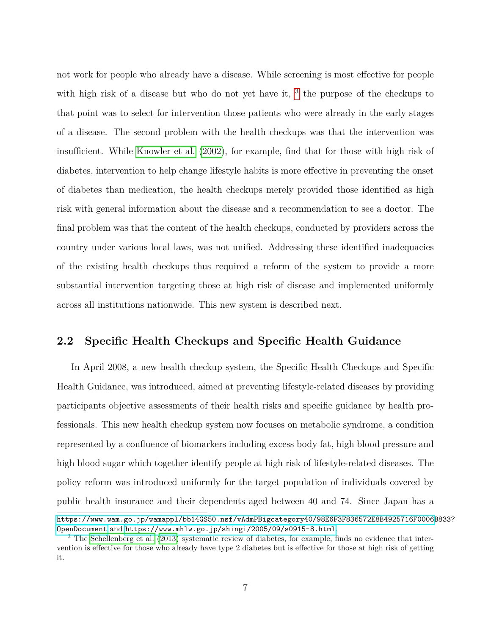not work for people who already have a disease. While screening is most effective for people with high risk of a disease but who do not yet have it,  $3$  the purpose of the checkups to that point was to select for intervention those patients who were already in the early stages of a disease. The second problem with the health checkups was that the intervention was insufficient. While [Knowler et al. \(2002\)](#page-48-7), for example, find that for those with high risk of diabetes, intervention to help change lifestyle habits is more effective in preventing the onset of diabetes than medication, the health checkups merely provided those identified as high risk with general information about the disease and a recommendation to see a doctor. The final problem was that the content of the health checkups, conducted by providers across the country under various local laws, was not unified. Addressing these identified inadequacies of the existing health checkups thus required a reform of the system to provide a more substantial intervention targeting those at high risk of disease and implemented uniformly across all institutions nationwide. This new system is described next.

#### **2.2 Specific Health Checkups and Specific Health Guidance**

In April 2008, a new health checkup system, the Specific Health Checkups and Specific Health Guidance, was introduced, aimed at preventing lifestyle-related diseases by providing participants objective assessments of their health risks and specific guidance by health professionals. This new health checkup system now focuses on metabolic syndrome, a condition represented by a confluence of biomarkers including excess body fat, high blood pressure and high blood sugar which together identify people at high risk of lifestyle-related diseases. The policy reform was introduced uniformly for the target population of individuals covered by public health insurance and their dependents aged between 40 and 74. Since Japan has a

[https://www.wam.go.jp/wamappl/bb14GS50.nsf/vAdmPBigcategory40/98E6F3F836572E8B4925716F0006B](https://www.wam.go.jp/wamappl/bb14GS50.nsf/vAdmPBigcategory40/98E6F3F836572E8B4925716F0006B833?OpenDocument)833? [OpenDocument](https://www.wam.go.jp/wamappl/bb14GS50.nsf/vAdmPBigcategory40/98E6F3F836572E8B4925716F0006B833?OpenDocument) and <https://www.mhlw.go.jp/shingi/2005/09/s0915-8.html>.

<span id="page-7-0"></span><sup>3</sup> The [Schellenberg et al. \(2013\)](#page-49-2) systematic review of diabetes, for example, finds no evidence that intervention is effective for those who already have type 2 diabetes but is effective for those at high risk of getting it.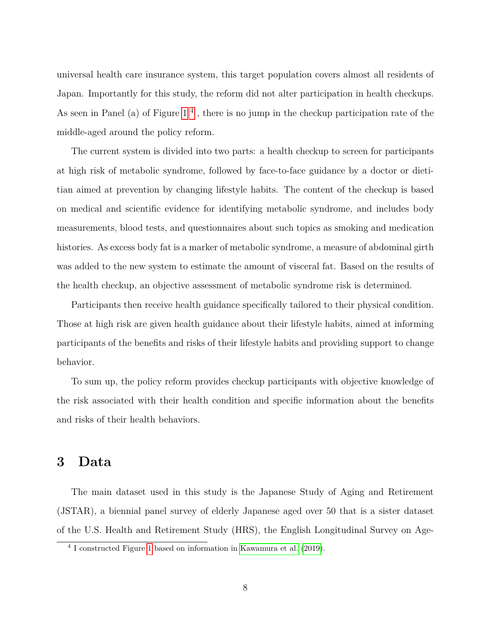universal health care insurance system, this target population covers almost all residents of Japan. Importantly for this study, the reform did not alter participation in health checkups. As seen in Panel (a) of Figure  $1<sup>4</sup>$ , there is no jump in the checkup participation rate of the middle-aged around the policy reform.

The current system is divided into two parts: a health checkup to screen for participants at high risk of metabolic syndrome, followed by face-to-face guidance by a doctor or dietitian aimed at prevention by changing lifestyle habits. The content of the checkup is based on medical and scientific evidence for identifying metabolic syndrome, and includes body measurements, blood tests, and questionnaires about such topics as smoking and medication histories. As excess body fat is a marker of metabolic syndrome, a measure of abdominal girth was added to the new system to estimate the amount of visceral fat. Based on the results of the health checkup, an objective assessment of metabolic syndrome risk is determined.

Participants then receive health guidance specifically tailored to their physical condition. Those at high risk are given health guidance about their lifestyle habits, aimed at informing participants of the benefits and risks of their lifestyle habits and providing support to change behavior.

To sum up, the policy reform provides checkup participants with objective knowledge of the risk associated with their health condition and specific information about the benefits and risks of their health behaviors.

# <span id="page-8-0"></span>**3 Data**

The main dataset used in this study is the Japanese Study of Aging and Retirement (JSTAR), a biennial panel survey of elderly Japanese aged over 50 that is a sister dataset of the U.S. Health and Retirement Study (HRS), the English Longitudinal Survey on Age-

<span id="page-8-1"></span><sup>4</sup> I constructed Figure [1](#page-27-0) based on information in [Kawamura et al. \(2019\)](#page-48-8).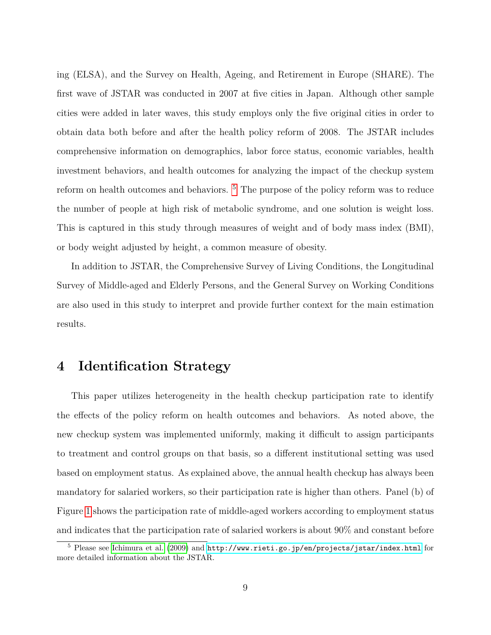ing (ELSA), and the Survey on Health, Ageing, and Retirement in Europe (SHARE). The first wave of JSTAR was conducted in 2007 at five cities in Japan. Although other sample cities were added in later waves, this study employs only the five original cities in order to obtain data both before and after the health policy reform of 2008. The JSTAR includes comprehensive information on demographics, labor force status, economic variables, health investment behaviors, and health outcomes for analyzing the impact of the checkup system reform on health outcomes and behaviors.<sup>[5](#page-9-1)</sup> The purpose of the policy reform was to reduce the number of people at high risk of metabolic syndrome, and one solution is weight loss. This is captured in this study through measures of weight and of body mass index (BMI), or body weight adjusted by height, a common measure of obesity.

In addition to JSTAR, the Comprehensive Survey of Living Conditions, the Longitudinal Survey of Middle-aged and Elderly Persons, and the General Survey on Working Conditions are also used in this study to interpret and provide further context for the main estimation results.

### <span id="page-9-0"></span>**4 Identification Strategy**

This paper utilizes heterogeneity in the health checkup participation rate to identify the effects of the policy reform on health outcomes and behaviors. As noted above, the new checkup system was implemented uniformly, making it difficult to assign participants to treatment and control groups on that basis, so a different institutional setting was used based on employment status. As explained above, the annual health checkup has always been mandatory for salaried workers, so their participation rate is higher than others. Panel (b) of Figure [1](#page-27-0) shows the participation rate of middle-aged workers according to employment status and indicates that the participation rate of salaried workers is about 90% and constant before

<span id="page-9-1"></span> $5$  Please see [Ichimura et al. \(2009\)](#page-48-9) and  $\texttt{http://www.rieti.gov.jp/en/projects/jstar/index.html}$  for more detailed information about the JSTAR.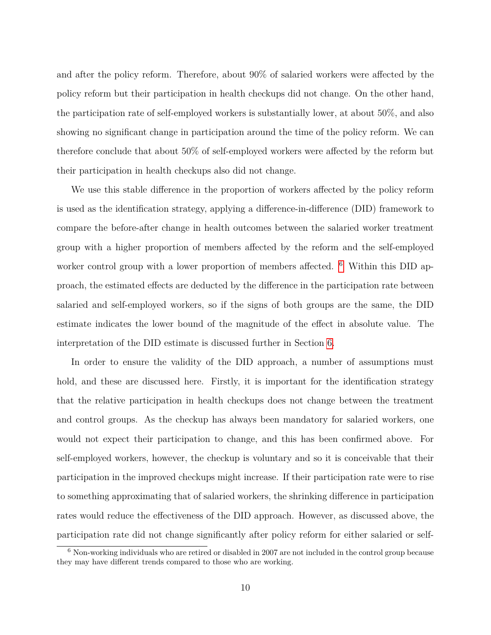and after the policy reform. Therefore, about 90% of salaried workers were affected by the policy reform but their participation in health checkups did not change. On the other hand, the participation rate of self-employed workers is substantially lower, at about 50%, and also showing no significant change in participation around the time of the policy reform. We can therefore conclude that about 50% of self-employed workers were affected by the reform but their participation in health checkups also did not change.

We use this stable difference in the proportion of workers affected by the policy reform is used as the identification strategy, applying a difference-in-difference (DID) framework to compare the before-after change in health outcomes between the salaried worker treatment group with a higher proportion of members affected by the reform and the self-employed worker control group with a lower proportion of members affected. <sup>[6](#page-10-0)</sup> Within this DID approach, the estimated effects are deducted by the difference in the participation rate between salaried and self-employed workers, so if the signs of both groups are the same, the DID estimate indicates the lower bound of the magnitude of the effect in absolute value. The interpretation of the DID estimate is discussed further in Section [6.](#page-19-0)

In order to ensure the validity of the DID approach, a number of assumptions must hold, and these are discussed here. Firstly, it is important for the identification strategy that the relative participation in health checkups does not change between the treatment and control groups. As the checkup has always been mandatory for salaried workers, one would not expect their participation to change, and this has been confirmed above. For self-employed workers, however, the checkup is voluntary and so it is conceivable that their participation in the improved checkups might increase. If their participation rate were to rise to something approximating that of salaried workers, the shrinking difference in participation rates would reduce the effectiveness of the DID approach. However, as discussed above, the participation rate did not change significantly after policy reform for either salaried or self-

<span id="page-10-0"></span><sup>6</sup> Non-working individuals who are retired or disabled in 2007 are not included in the control group because they may have different trends compared to those who are working.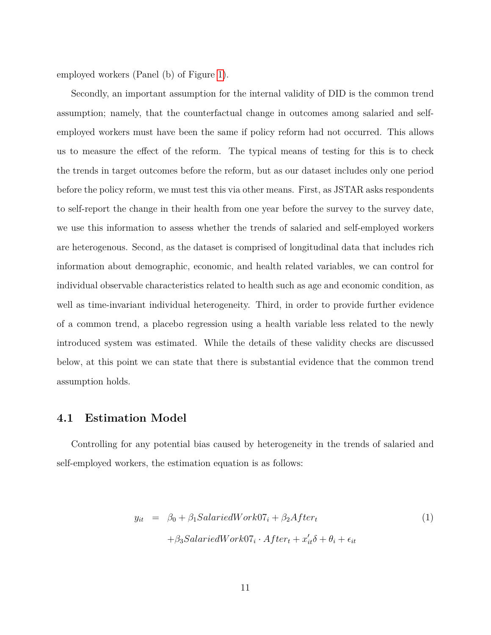employed workers (Panel (b) of Figure [1\)](#page-27-0).

Secondly, an important assumption for the internal validity of DID is the common trend assumption; namely, that the counterfactual change in outcomes among salaried and selfemployed workers must have been the same if policy reform had not occurred. This allows us to measure the effect of the reform. The typical means of testing for this is to check the trends in target outcomes before the reform, but as our dataset includes only one period before the policy reform, we must test this via other means. First, as JSTAR asks respondents to self-report the change in their health from one year before the survey to the survey date, we use this information to assess whether the trends of salaried and self-employed workers are heterogenous. Second, as the dataset is comprised of longitudinal data that includes rich information about demographic, economic, and health related variables, we can control for individual observable characteristics related to health such as age and economic condition, as well as time-invariant individual heterogeneity. Third, in order to provide further evidence of a common trend, a placebo regression using a health variable less related to the newly introduced system was estimated. While the details of these validity checks are discussed below, at this point we can state that there is substantial evidence that the common trend assumption holds.

#### **4.1 Estimation Model**

Controlling for any potential bias caused by heterogeneity in the trends of salaried and self-employed workers, the estimation equation is as follows:

<span id="page-11-0"></span>
$$
y_{it} = \beta_0 + \beta_1 SalariedWork07_i + \beta_2 After_t
$$
  
+  $\beta_3 SalariedWork07_i \cdot After_t + x'_{it} \delta + \theta_i + \epsilon_{it}$  (1)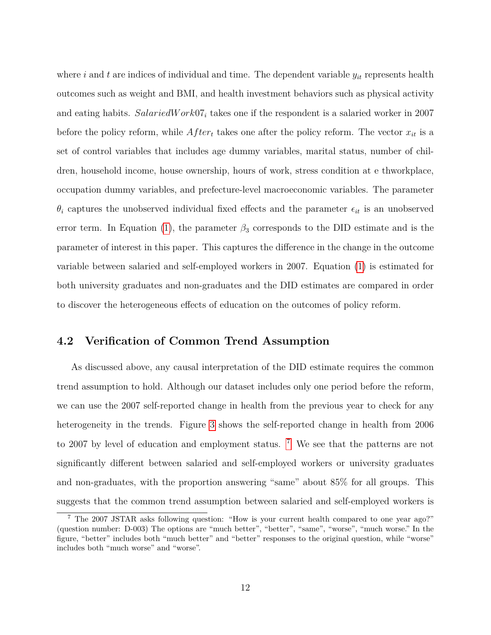where i and t are indices of individual and time. The dependent variable  $y_{it}$  represents health outcomes such as weight and BMI, and health investment behaviors such as physical activity and eating habits.  $SalariedWork07<sub>i</sub>$  takes one if the respondent is a salaried worker in 2007 before the policy reform, while  $After_t$  takes one after the policy reform. The vector  $x_{it}$  is a set of control variables that includes age dummy variables, marital status, number of children, household income, house ownership, hours of work, stress condition at e thworkplace, occupation dummy variables, and prefecture-level macroeconomic variables. The parameter  $\theta_i$  captures the unobserved individual fixed effects and the parameter  $\epsilon_{it}$  is an unobserved error term. In Equation [\(1\)](#page-11-0), the parameter  $\beta_3$  corresponds to the DID estimate and is the parameter of interest in this paper. This captures the difference in the change in the outcome variable between salaried and self-employed workers in 2007. Equation [\(1\)](#page-11-0) is estimated for both university graduates and non-graduates and the DID estimates are compared in order to discover the heterogeneous effects of education on the outcomes of policy reform.

#### **4.2 Verification of Common Trend Assumption**

As discussed above, any causal interpretation of the DID estimate requires the common trend assumption to hold. Although our dataset includes only one period before the reform, we can use the 2007 self-reported change in health from the previous year to check for any heterogeneity in the trends. Figure [3](#page-29-0) shows the self-reported change in health from 2006 to 200[7](#page-12-0) by level of education and employment status. <sup>7</sup> We see that the patterns are not significantly different between salaried and self-employed workers or university graduates and non-graduates, with the proportion answering "same" about 85% for all groups. This suggests that the common trend assumption between salaried and self-employed workers is

<span id="page-12-0"></span><sup>7</sup> The 2007 JSTAR asks following question: "How is your current health compared to one year ago?" (question number: D-003) The options are "much better", "better", "same", "worse", "much worse." In the figure, "better" includes both "much better" and "better" responses to the original question, while "worse" includes both "much worse" and "worse".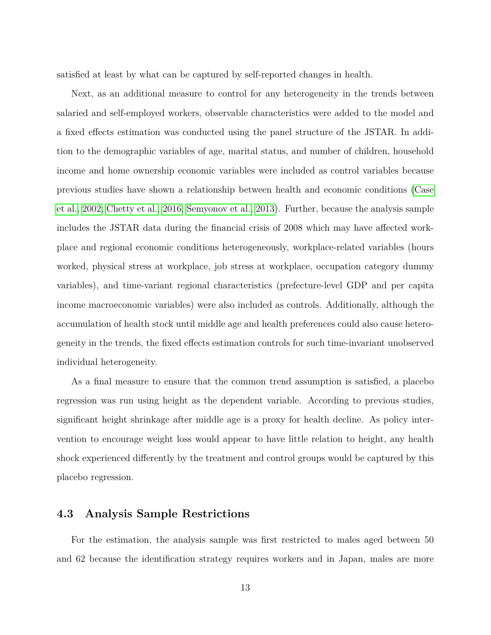satisfied at least by what can be captured by self-reported changes in health.

Next, as an additional measure to control for any heterogeneity in the trends between salaried and self-employed workers, observable characteristics were added to the model and a fixed effects estimation was conducted using the panel structure of the JSTAR. In addition to the demographic variables of age, marital status, and number of children, household income and home ownership economic variables were included as control variables because previous studies have shown a relationship between health and economic conditions [\(Case](#page-47-7) [et al., 2002;](#page-47-7) [Chetty et al., 2016;](#page-47-8) [Semyonov et al., 2013\)](#page-49-3). Further, because the analysis sample includes the JSTAR data during the financial crisis of 2008 which may have affected workplace and regional economic conditions heterogeneously, workplace-related variables (hours worked, physical stress at workplace, job stress at workplace, occupation category dummy variables), and time-variant regional characteristics (prefecture-level GDP and per capita income macroeconomic variables) were also included as controls. Additionally, although the accumulation of health stock until middle age and health preferences could also cause heterogeneity in the trends, the fixed effects estimation controls for such time-invariant unobserved individual heterogeneity.

As a final measure to ensure that the common trend assumption is satisfied, a placebo regression was run using height as the dependent variable. According to previous studies, significant height shrinkage after middle age is a proxy for health decline. As policy intervention to encourage weight loss would appear to have little relation to height, any health shock experienced differently by the treatment and control groups would be captured by this placebo regression.

#### **4.3 Analysis Sample Restrictions**

For the estimation, the analysis sample was first restricted to males aged between 50 and 62 because the identification strategy requires workers and in Japan, males are more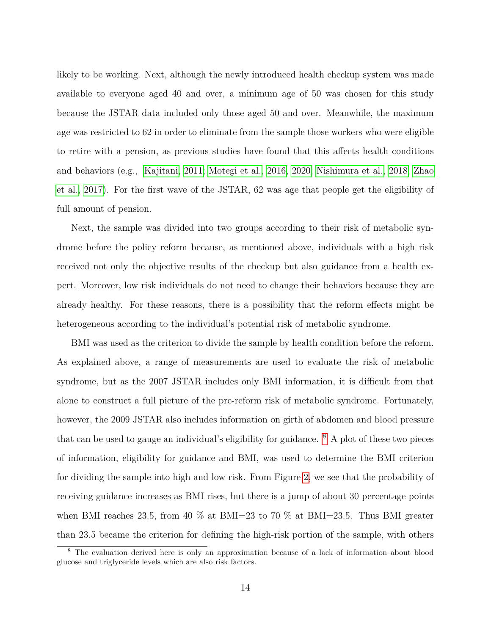likely to be working. Next, although the newly introduced health checkup system was made available to everyone aged 40 and over, a minimum age of 50 was chosen for this study because the JSTAR data included only those aged 50 and over. Meanwhile, the maximum age was restricted to 62 in order to eliminate from the sample those workers who were eligible to retire with a pension, as previous studies have found that this affects health conditions and behaviors (e.g., [Kajitani, 2011;](#page-48-10) [Motegi et al., 2016,](#page-49-4) [2020;](#page-49-5) [Nishimura et al., 2018;](#page-49-6) [Zhao](#page-50-1) [et al., 2017\)](#page-50-1). For the first wave of the JSTAR, 62 was age that people get the eligibility of full amount of pension.

Next, the sample was divided into two groups according to their risk of metabolic syndrome before the policy reform because, as mentioned above, individuals with a high risk received not only the objective results of the checkup but also guidance from a health expert. Moreover, low risk individuals do not need to change their behaviors because they are already healthy. For these reasons, there is a possibility that the reform effects might be heterogeneous according to the individual's potential risk of metabolic syndrome.

BMI was used as the criterion to divide the sample by health condition before the reform. As explained above, a range of measurements are used to evaluate the risk of metabolic syndrome, but as the 2007 JSTAR includes only BMI information, it is difficult from that alone to construct a full picture of the pre-reform risk of metabolic syndrome. Fortunately, however, the 2009 JSTAR also includes information on girth of abdomen and blood pressure that can be used to gauge an individual's eligibility for guidance.  $8 \text{ A plot of these two pieces}$  $8 \text{ A plot of these two pieces}$ of information, eligibility for guidance and BMI, was used to determine the BMI criterion for dividing the sample into high and low risk. From Figure [2,](#page-28-0) we see that the probability of receiving guidance increases as BMI rises, but there is a jump of about 30 percentage points when BMI reaches 23.5, from 40  $\%$  at BMI=23 to 70  $\%$  at BMI=23.5. Thus BMI greater than 23.5 became the criterion for defining the high-risk portion of the sample, with others

<span id="page-14-0"></span><sup>8</sup> The evaluation derived here is only an approximation because of a lack of information about blood glucose and triglyceride levels which are also risk factors.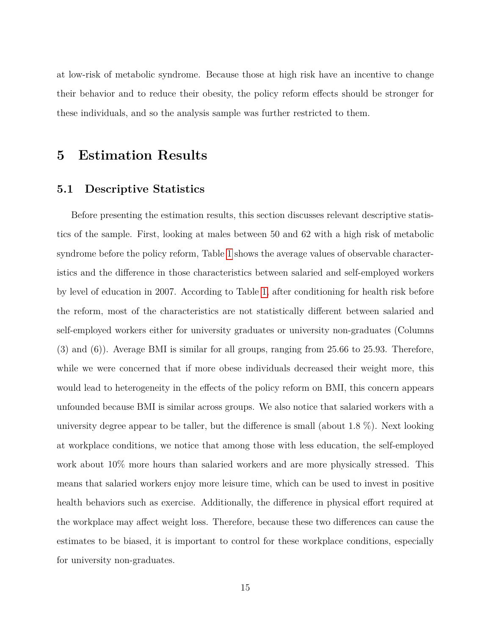at low-risk of metabolic syndrome. Because those at high risk have an incentive to change their behavior and to reduce their obesity, the policy reform effects should be stronger for these individuals, and so the analysis sample was further restricted to them.

## <span id="page-15-0"></span>**5 Estimation Results**

#### **5.1 Descriptive Statistics**

Before presenting the estimation results, this section discusses relevant descriptive statistics of the sample. First, looking at males between 50 and 62 with a high risk of metabolic syndrome before the policy reform, Table [1](#page-33-0) shows the average values of observable characteristics and the difference in those characteristics between salaried and self-employed workers by level of education in 2007. According to Table [1,](#page-33-0) after conditioning for health risk before the reform, most of the characteristics are not statistically different between salaried and self-employed workers either for university graduates or university non-graduates (Columns (3) and (6)). Average BMI is similar for all groups, ranging from 25.66 to 25.93. Therefore, while we were concerned that if more obese individuals decreased their weight more, this would lead to heterogeneity in the effects of the policy reform on BMI, this concern appears unfounded because BMI is similar across groups. We also notice that salaried workers with a university degree appear to be taller, but the difference is small (about 1.8 %). Next looking at workplace conditions, we notice that among those with less education, the self-employed work about 10% more hours than salaried workers and are more physically stressed. This means that salaried workers enjoy more leisure time, which can be used to invest in positive health behaviors such as exercise. Additionally, the difference in physical effort required at the workplace may affect weight loss. Therefore, because these two differences can cause the estimates to be biased, it is important to control for these workplace conditions, especially for university non-graduates.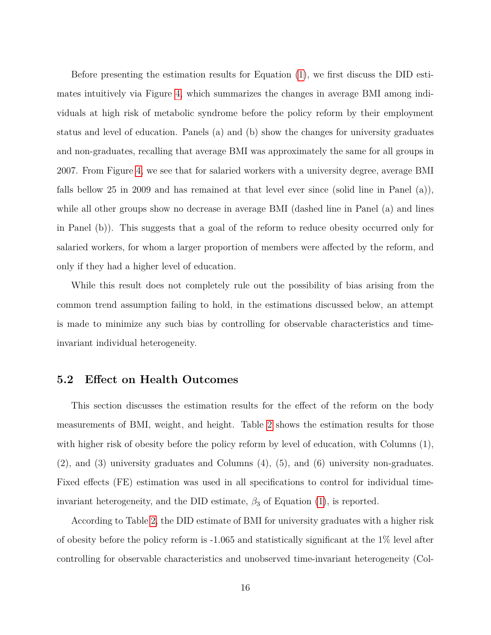Before presenting the estimation results for Equation [\(1\)](#page-11-0), we first discuss the DID estimates intuitively via Figure [4,](#page-30-0) which summarizes the changes in average BMI among individuals at high risk of metabolic syndrome before the policy reform by their employment status and level of education. Panels (a) and (b) show the changes for university graduates and non-graduates, recalling that average BMI was approximately the same for all groups in 2007. From Figure [4,](#page-30-0) we see that for salaried workers with a university degree, average BMI falls bellow 25 in 2009 and has remained at that level ever since (solid line in Panel (a)), while all other groups show no decrease in average BMI (dashed line in Panel (a) and lines in Panel (b)). This suggests that a goal of the reform to reduce obesity occurred only for salaried workers, for whom a larger proportion of members were affected by the reform, and only if they had a higher level of education.

While this result does not completely rule out the possibility of bias arising from the common trend assumption failing to hold, in the estimations discussed below, an attempt is made to minimize any such bias by controlling for observable characteristics and timeinvariant individual heterogeneity.

#### **5.2 Effect on Health Outcomes**

This section discusses the estimation results for the effect of the reform on the body measurements of BMI, weight, and height. Table [2](#page-34-0) shows the estimation results for those with higher risk of obesity before the policy reform by level of education, with Columns (1), (2), and (3) university graduates and Columns (4), (5), and (6) university non-graduates. Fixed effects (FE) estimation was used in all specifications to control for individual timeinvariant heterogeneity, and the DID estimate,  $\beta_3$  of Equation [\(1\)](#page-11-0), is reported.

According to Table [2,](#page-34-0) the DID estimate of BMI for university graduates with a higher risk of obesity before the policy reform is -1.065 and statistically significant at the 1% level after controlling for observable characteristics and unobserved time-invariant heterogeneity (Col-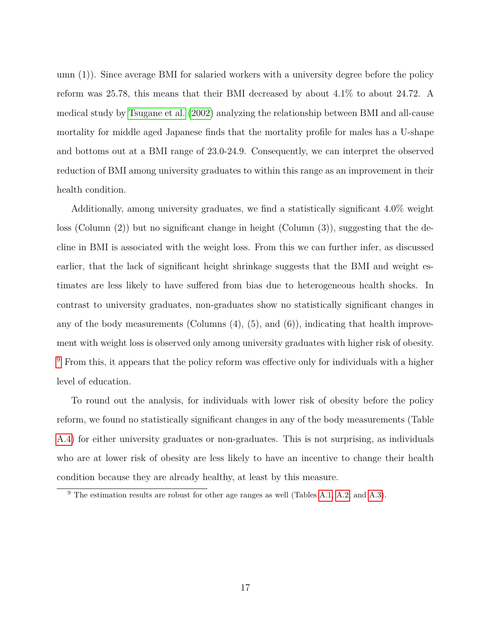umn (1)). Since average BMI for salaried workers with a university degree before the policy reform was 25.78, this means that their BMI decreased by about 4.1% to about 24.72. A medical study by [Tsugane et al. \(2002\)](#page-49-7) analyzing the relationship between BMI and all-cause mortality for middle aged Japanese finds that the mortality profile for males has a U-shape and bottoms out at a BMI range of 23.0-24.9. Consequently, we can interpret the observed reduction of BMI among university graduates to within this range as an improvement in their health condition.

Additionally, among university graduates, we find a statistically significant 4.0% weight loss (Column (2)) but no significant change in height (Column (3)), suggesting that the decline in BMI is associated with the weight loss. From this we can further infer, as discussed earlier, that the lack of significant height shrinkage suggests that the BMI and weight estimates are less likely to have suffered from bias due to heterogeneous health shocks. In contrast to university graduates, non-graduates show no statistically significant changes in any of the body measurements (Columns  $(4)$ ,  $(5)$ , and  $(6)$ ), indicating that health improvement with weight loss is observed only among university graduates with higher risk of obesity.  $9$  From this, it appears that the policy reform was effective only for individuals with a higher level of education.

To round out the analysis, for individuals with lower risk of obesity before the policy reform, we found no statistically significant changes in any of the body measurements (Table [A.4\)](#page-43-0) for either university graduates or non-graduates. This is not surprising, as individuals who are at lower risk of obesity are less likely to have an incentive to change their health condition because they are already healthy, at least by this measure.

<span id="page-17-0"></span><sup>&</sup>lt;sup>9</sup> The estimation results are robust for other age ranges as well (Tables [A.1,](#page-41-0) [A.2,](#page-42-0) and [A.3\)](#page-42-1).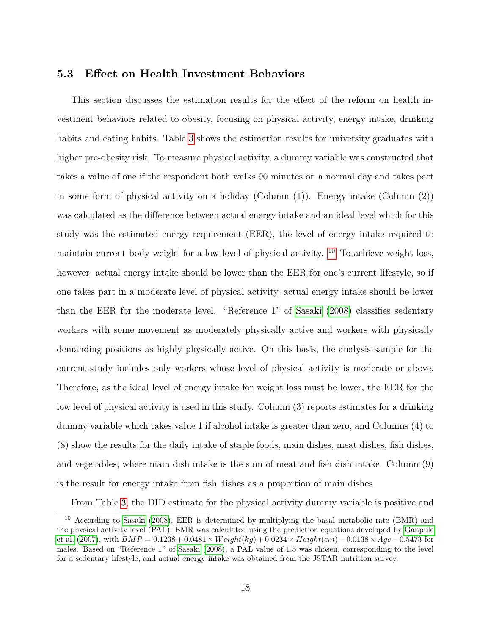#### **5.3 Effect on Health Investment Behaviors**

This section discusses the estimation results for the effect of the reform on health investment behaviors related to obesity, focusing on physical activity, energy intake, drinking habits and eating habits. Table [3](#page-35-0) shows the estimation results for university graduates with higher pre-obesity risk. To measure physical activity, a dummy variable was constructed that takes a value of one if the respondent both walks 90 minutes on a normal day and takes part in some form of physical activity on a holiday (Column (1)). Energy intake (Column (2)) was calculated as the difference between actual energy intake and an ideal level which for this study was the estimated energy requirement (EER), the level of energy intake required to maintain current body weight for a low level of physical activity.  $10$  To achieve weight loss, however, actual energy intake should be lower than the EER for one's current lifestyle, so if one takes part in a moderate level of physical activity, actual energy intake should be lower than the EER for the moderate level. "Reference 1" of [Sasaki \(2008\)](#page-49-8) classifies sedentary workers with some movement as moderately physically active and workers with physically demanding positions as highly physically active. On this basis, the analysis sample for the current study includes only workers whose level of physical activity is moderate or above. Therefore, as the ideal level of energy intake for weight loss must be lower, the EER for the low level of physical activity is used in this study. Column (3) reports estimates for a drinking dummy variable which takes value 1 if alcohol intake is greater than zero, and Columns (4) to (8) show the results for the daily intake of staple foods, main dishes, meat dishes, fish dishes, and vegetables, where main dish intake is the sum of meat and fish dish intake. Column (9) is the result for energy intake from fish dishes as a proportion of main dishes.

<span id="page-18-0"></span>From Table [3,](#page-35-0) the DID estimate for the physical activity dummy variable is positive and

<sup>10</sup> According to [Sasaki \(2008\)](#page-49-8), EER is determined by multiplying the basal metabolic rate (BMR) and the physical activity level (PAL). BMR was calculated using the prediction equations developed by [Ganpule](#page-47-9) [et al. \(2007\)](#page-47-9), with  $BMR = 0.1238 + 0.0481 \times Weight(kg) + 0.0234 \times Height(cm) - 0.0138 \times Age - 0.5473$  for males. Based on "Reference 1" of [Sasaki \(2008\)](#page-49-8), a PAL value of 1.5 was chosen, corresponding to the level for a sedentary lifestyle, and actual energy intake was obtained from the JSTAR nutrition survey.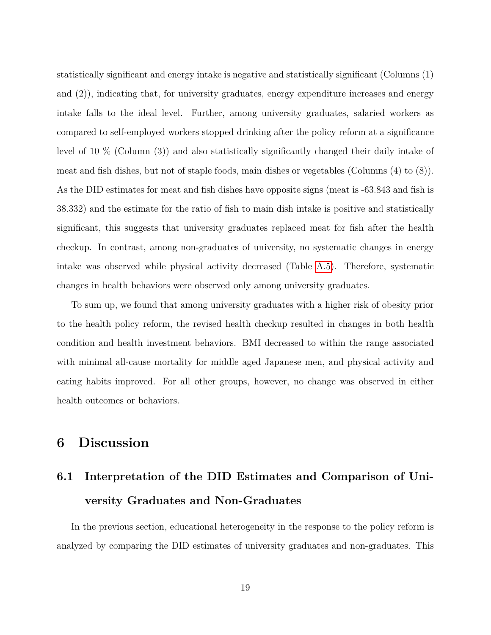statistically significant and energy intake is negative and statistically significant (Columns (1) and (2)), indicating that, for university graduates, energy expenditure increases and energy intake falls to the ideal level. Further, among university graduates, salaried workers as compared to self-employed workers stopped drinking after the policy reform at a significance level of 10 % (Column (3)) and also statistically significantly changed their daily intake of meat and fish dishes, but not of staple foods, main dishes or vegetables (Columns (4) to (8)). As the DID estimates for meat and fish dishes have opposite signs (meat is -63.843 and fish is 38.332) and the estimate for the ratio of fish to main dish intake is positive and statistically significant, this suggests that university graduates replaced meat for fish after the health checkup. In contrast, among non-graduates of university, no systematic changes in energy intake was observed while physical activity decreased (Table [A.5\)](#page-44-0). Therefore, systematic changes in health behaviors were observed only among university graduates.

To sum up, we found that among university graduates with a higher risk of obesity prior to the health policy reform, the revised health checkup resulted in changes in both health condition and health investment behaviors. BMI decreased to within the range associated with minimal all-cause mortality for middle aged Japanese men, and physical activity and eating habits improved. For all other groups, however, no change was observed in either health outcomes or behaviors.

# <span id="page-19-0"></span>**6 Discussion**

# **6.1 Interpretation of the DID Estimates and Comparison of University Graduates and Non-Graduates**

In the previous section, educational heterogeneity in the response to the policy reform is analyzed by comparing the DID estimates of university graduates and non-graduates. This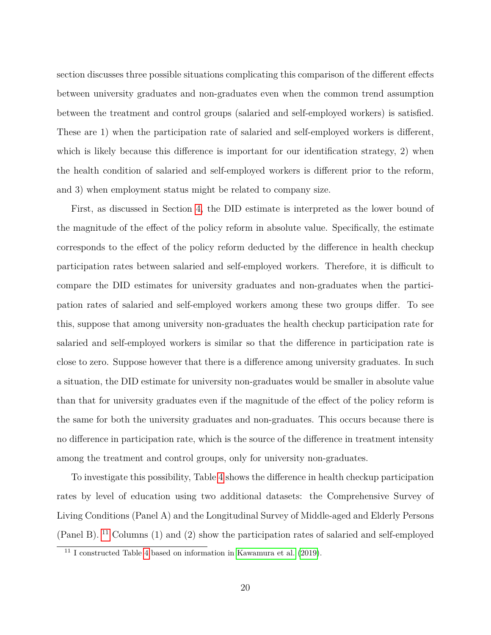section discusses three possible situations complicating this comparison of the different effects between university graduates and non-graduates even when the common trend assumption between the treatment and control groups (salaried and self-employed workers) is satisfied. These are 1) when the participation rate of salaried and self-employed workers is different, which is likely because this difference is important for our identification strategy, 2) when the health condition of salaried and self-employed workers is different prior to the reform, and 3) when employment status might be related to company size.

First, as discussed in Section [4,](#page-9-0) the DID estimate is interpreted as the lower bound of the magnitude of the effect of the policy reform in absolute value. Specifically, the estimate corresponds to the effect of the policy reform deducted by the difference in health checkup participation rates between salaried and self-employed workers. Therefore, it is difficult to compare the DID estimates for university graduates and non-graduates when the participation rates of salaried and self-employed workers among these two groups differ. To see this, suppose that among university non-graduates the health checkup participation rate for salaried and self-employed workers is similar so that the difference in participation rate is close to zero. Suppose however that there is a difference among university graduates. In such a situation, the DID estimate for university non-graduates would be smaller in absolute value than that for university graduates even if the magnitude of the effect of the policy reform is the same for both the university graduates and non-graduates. This occurs because there is no difference in participation rate, which is the source of the difference in treatment intensity among the treatment and control groups, only for university non-graduates.

To investigate this possibility, Table [4](#page-36-0) shows the difference in health checkup participation rates by level of education using two additional datasets: the Comprehensive Survey of Living Conditions (Panel A) and the Longitudinal Survey of Middle-aged and Elderly Persons (Panel B). <sup>[11](#page-20-0)</sup> Columns (1) and (2) show the participation rates of salaried and self-employed

<span id="page-20-0"></span><sup>11</sup> I constructed Table [4](#page-36-0) based on information in [Kawamura et al. \(2019\)](#page-48-8).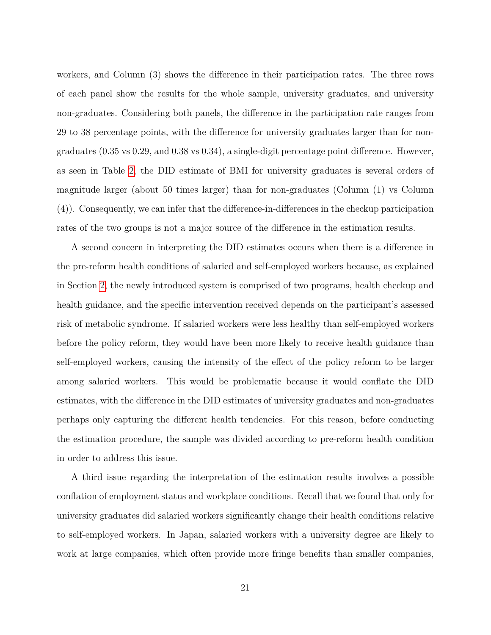workers, and Column (3) shows the difference in their participation rates. The three rows of each panel show the results for the whole sample, university graduates, and university non-graduates. Considering both panels, the difference in the participation rate ranges from 29 to 38 percentage points, with the difference for university graduates larger than for nongraduates (0.35 vs 0.29, and 0.38 vs 0.34), a single-digit percentage point difference. However, as seen in Table [2,](#page-34-0) the DID estimate of BMI for university graduates is several orders of magnitude larger (about 50 times larger) than for non-graduates (Column (1) vs Column (4)). Consequently, we can infer that the difference-in-differences in the checkup participation rates of the two groups is not a major source of the difference in the estimation results.

A second concern in interpreting the DID estimates occurs when there is a difference in the pre-reform health conditions of salaried and self-employed workers because, as explained in Section [2,](#page-6-0) the newly introduced system is comprised of two programs, health checkup and health guidance, and the specific intervention received depends on the participant's assessed risk of metabolic syndrome. If salaried workers were less healthy than self-employed workers before the policy reform, they would have been more likely to receive health guidance than self-employed workers, causing the intensity of the effect of the policy reform to be larger among salaried workers. This would be problematic because it would conflate the DID estimates, with the difference in the DID estimates of university graduates and non-graduates perhaps only capturing the different health tendencies. For this reason, before conducting the estimation procedure, the sample was divided according to pre-reform health condition in order to address this issue.

A third issue regarding the interpretation of the estimation results involves a possible conflation of employment status and workplace conditions. Recall that we found that only for university graduates did salaried workers significantly change their health conditions relative to self-employed workers. In Japan, salaried workers with a university degree are likely to work at large companies, which often provide more fringe benefits than smaller companies,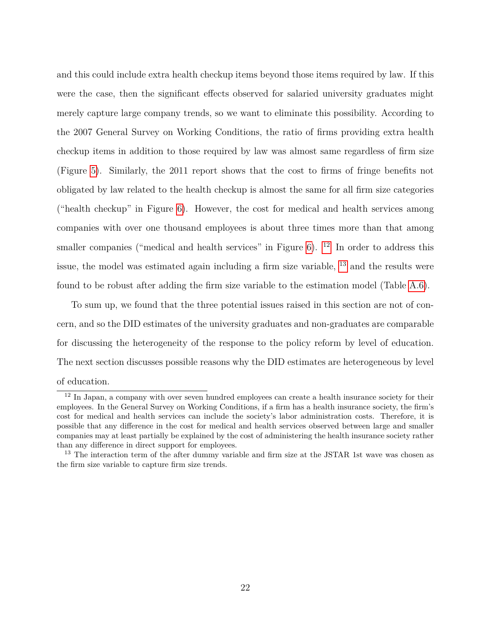and this could include extra health checkup items beyond those items required by law. If this were the case, then the significant effects observed for salaried university graduates might merely capture large company trends, so we want to eliminate this possibility. According to the 2007 General Survey on Working Conditions, the ratio of firms providing extra health checkup items in addition to those required by law was almost same regardless of firm size (Figure [5\)](#page-31-0). Similarly, the 2011 report shows that the cost to firms of fringe benefits not obligated by law related to the health checkup is almost the same for all firm size categories ("health checkup" in Figure [6\)](#page-32-0). However, the cost for medical and health services among companies with over one thousand employees is about three times more than that among smaller companies ("medical and health services" in Figure  $6$ ). <sup>[12](#page-22-0)</sup> In order to address this issue, the model was estimated again including a firm size variable, [13](#page-22-1) and the results were found to be robust after adding the firm size variable to the estimation model (Table [A.6\)](#page-45-0).

To sum up, we found that the three potential issues raised in this section are not of concern, and so the DID estimates of the university graduates and non-graduates are comparable for discussing the heterogeneity of the response to the policy reform by level of education. The next section discusses possible reasons why the DID estimates are heterogeneous by level of education.

<span id="page-22-0"></span><sup>&</sup>lt;sup>12</sup> In Japan, a company with over seven hundred employees can create a health insurance society for their employees. In the General Survey on Working Conditions, if a firm has a health insurance society, the firm's cost for medical and health services can include the society's labor administration costs. Therefore, it is possible that any difference in the cost for medical and health services observed between large and smaller companies may at least partially be explained by the cost of administering the health insurance society rather than any difference in direct support for employees.

<span id="page-22-1"></span><sup>&</sup>lt;sup>13</sup> The interaction term of the after dummy variable and firm size at the JSTAR 1st wave was chosen as the firm size variable to capture firm size trends.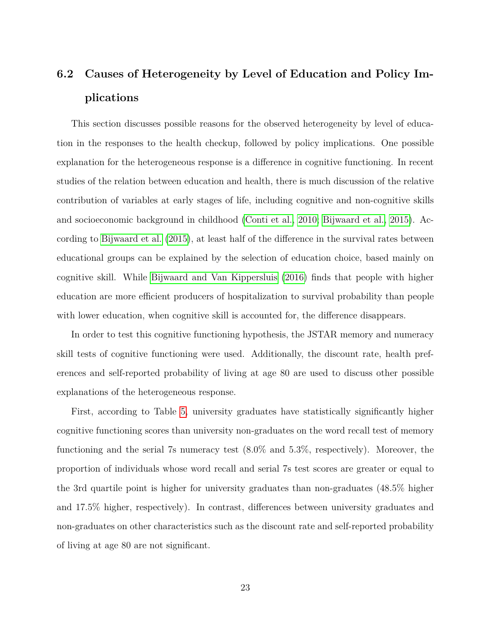# **6.2 Causes of Heterogeneity by Level of Education and Policy Implications**

This section discusses possible reasons for the observed heterogeneity by level of education in the responses to the health checkup, followed by policy implications. One possible explanation for the heterogeneous response is a difference in cognitive functioning. In recent studies of the relation between education and health, there is much discussion of the relative contribution of variables at early stages of life, including cognitive and non-cognitive skills and socioeconomic background in childhood [\(Conti et al., 2010;](#page-47-4) [Bijwaard et al., 2015\)](#page-47-5). According to [Bijwaard et al. \(2015\)](#page-47-5), at least half of the difference in the survival rates between educational groups can be explained by the selection of education choice, based mainly on cognitive skill. While [Bijwaard and Van Kippersluis \(2016\)](#page-47-6) finds that people with higher education are more efficient producers of hospitalization to survival probability than people with lower education, when cognitive skill is accounted for, the difference disappears.

In order to test this cognitive functioning hypothesis, the JSTAR memory and numeracy skill tests of cognitive functioning were used. Additionally, the discount rate, health preferences and self-reported probability of living at age 80 are used to discuss other possible explanations of the heterogeneous response.

First, according to Table [5,](#page-37-0) university graduates have statistically significantly higher cognitive functioning scores than university non-graduates on the word recall test of memory functioning and the serial 7s numeracy test (8.0% and 5.3%, respectively). Moreover, the proportion of individuals whose word recall and serial 7s test scores are greater or equal to the 3rd quartile point is higher for university graduates than non-graduates (48.5% higher and 17.5% higher, respectively). In contrast, differences between university graduates and non-graduates on other characteristics such as the discount rate and self-reported probability of living at age 80 are not significant.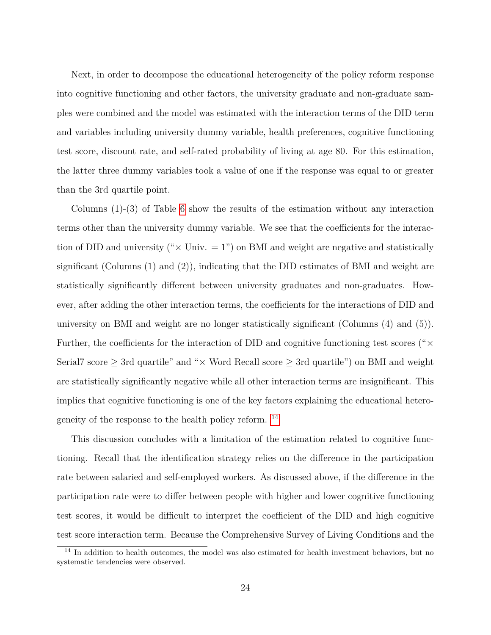Next, in order to decompose the educational heterogeneity of the policy reform response into cognitive functioning and other factors, the university graduate and non-graduate samples were combined and the model was estimated with the interaction terms of the DID term and variables including university dummy variable, health preferences, cognitive functioning test score, discount rate, and self-rated probability of living at age 80. For this estimation, the latter three dummy variables took a value of one if the response was equal to or greater than the 3rd quartile point.

Columns (1)-(3) of Table [6](#page-38-0) show the results of the estimation without any interaction terms other than the university dummy variable. We see that the coefficients for the interaction of DID and university (" $\times$  Univ. = 1") on BMI and weight are negative and statistically significant (Columns  $(1)$  and  $(2)$ ), indicating that the DID estimates of BMI and weight are statistically significantly different between university graduates and non-graduates. However, after adding the other interaction terms, the coefficients for the interactions of DID and university on BMI and weight are no longer statistically significant (Columns (4) and (5)). Further, the coefficients for the interaction of DID and cognitive functioning test scores (" $\times$ Serial7 score  $\geq$  3rd quartile" and " $\times$  Word Recall score  $\geq$  3rd quartile") on BMI and weight are statistically significantly negative while all other interaction terms are insignificant. This implies that cognitive functioning is one of the key factors explaining the educational heterogeneity of the response to the health policy reform. [14](#page-24-0)

This discussion concludes with a limitation of the estimation related to cognitive functioning. Recall that the identification strategy relies on the difference in the participation rate between salaried and self-employed workers. As discussed above, if the difference in the participation rate were to differ between people with higher and lower cognitive functioning test scores, it would be difficult to interpret the coefficient of the DID and high cognitive test score interaction term. Because the Comprehensive Survey of Living Conditions and the

<span id="page-24-0"></span><sup>&</sup>lt;sup>14</sup> In addition to health outcomes, the model was also estimated for health investment behaviors, but no systematic tendencies were observed.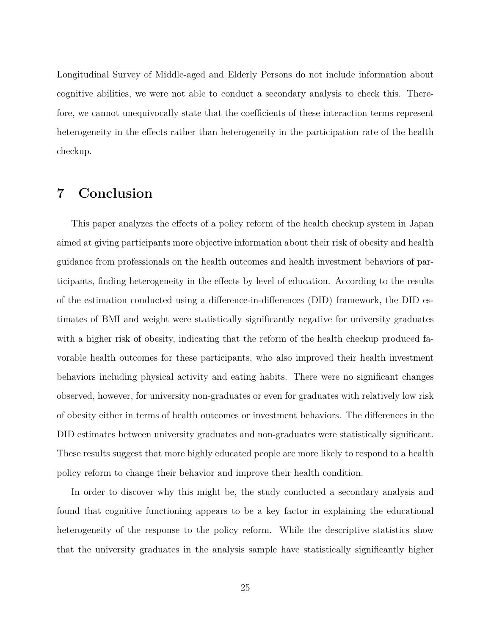Longitudinal Survey of Middle-aged and Elderly Persons do not include information about cognitive abilities, we were not able to conduct a secondary analysis to check this. Therefore, we cannot unequivocally state that the coefficients of these interaction terms represent heterogeneity in the effects rather than heterogeneity in the participation rate of the health checkup.

### <span id="page-25-0"></span>**7 Conclusion**

This paper analyzes the effects of a policy reform of the health checkup system in Japan aimed at giving participants more objective information about their risk of obesity and health guidance from professionals on the health outcomes and health investment behaviors of participants, finding heterogeneity in the effects by level of education. According to the results of the estimation conducted using a difference-in-differences (DID) framework, the DID estimates of BMI and weight were statistically significantly negative for university graduates with a higher risk of obesity, indicating that the reform of the health checkup produced favorable health outcomes for these participants, who also improved their health investment behaviors including physical activity and eating habits. There were no significant changes observed, however, for university non-graduates or even for graduates with relatively low risk of obesity either in terms of health outcomes or investment behaviors. The differences in the DID estimates between university graduates and non-graduates were statistically significant. These results suggest that more highly educated people are more likely to respond to a health policy reform to change their behavior and improve their health condition.

In order to discover why this might be, the study conducted a secondary analysis and found that cognitive functioning appears to be a key factor in explaining the educational heterogeneity of the response to the policy reform. While the descriptive statistics show that the university graduates in the analysis sample have statistically significantly higher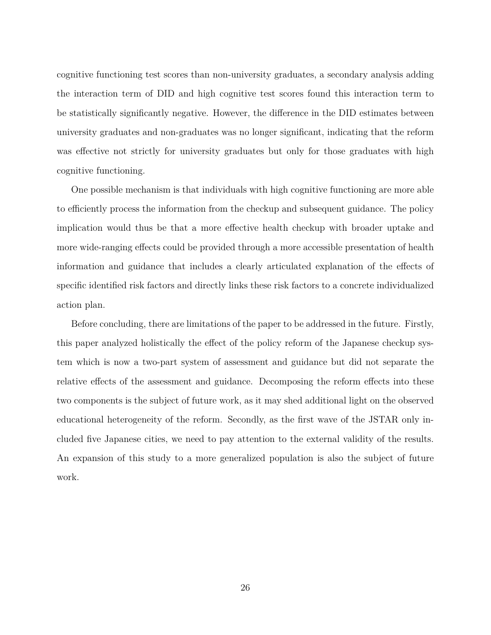cognitive functioning test scores than non-university graduates, a secondary analysis adding the interaction term of DID and high cognitive test scores found this interaction term to be statistically significantly negative. However, the difference in the DID estimates between university graduates and non-graduates was no longer significant, indicating that the reform was effective not strictly for university graduates but only for those graduates with high cognitive functioning.

One possible mechanism is that individuals with high cognitive functioning are more able to efficiently process the information from the checkup and subsequent guidance. The policy implication would thus be that a more effective health checkup with broader uptake and more wide-ranging effects could be provided through a more accessible presentation of health information and guidance that includes a clearly articulated explanation of the effects of specific identified risk factors and directly links these risk factors to a concrete individualized action plan.

Before concluding, there are limitations of the paper to be addressed in the future. Firstly, this paper analyzed holistically the effect of the policy reform of the Japanese checkup system which is now a two-part system of assessment and guidance but did not separate the relative effects of the assessment and guidance. Decomposing the reform effects into these two components is the subject of future work, as it may shed additional light on the observed educational heterogeneity of the reform. Secondly, as the first wave of the JSTAR only included five Japanese cities, we need to pay attention to the external validity of the results. An expansion of this study to a more generalized population is also the subject of future work.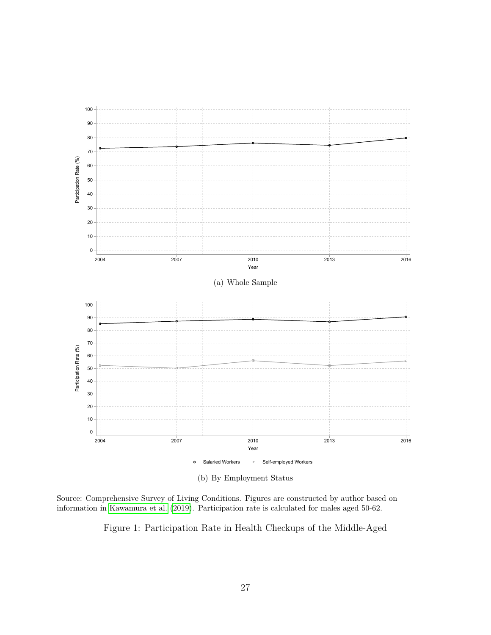<span id="page-27-0"></span>

(b) By Employment Status

Source: Comprehensive Survey of Living Conditions. Figures are constructed by author based on information in [Kawamura et al. \(2019\)](#page-48-8). Participation rate is calculated for males aged 50-62.

Figure 1: Participation Rate in Health Checkups of the Middle-Aged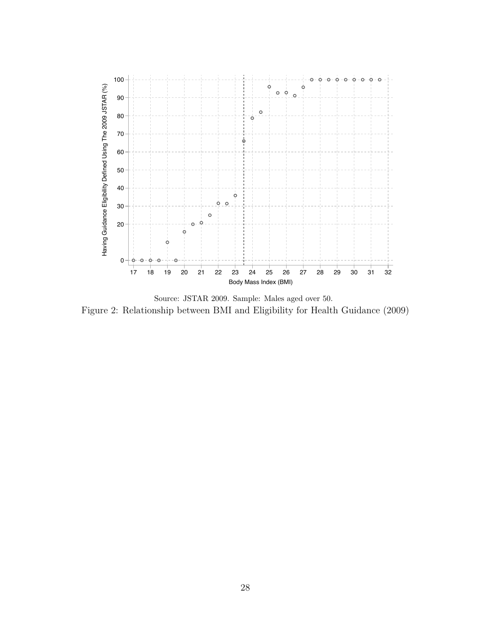<span id="page-28-0"></span>

Source: JSTAR 2009. Sample: Males aged over 50. Figure 2: Relationship between BMI and Eligibility for Health Guidance (2009)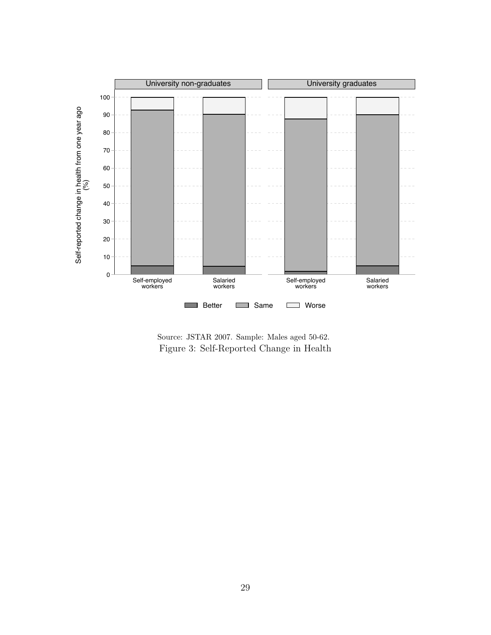<span id="page-29-0"></span>

Source: JSTAR 2007. Sample: Males aged 50-62. Figure 3: Self-Reported Change in Health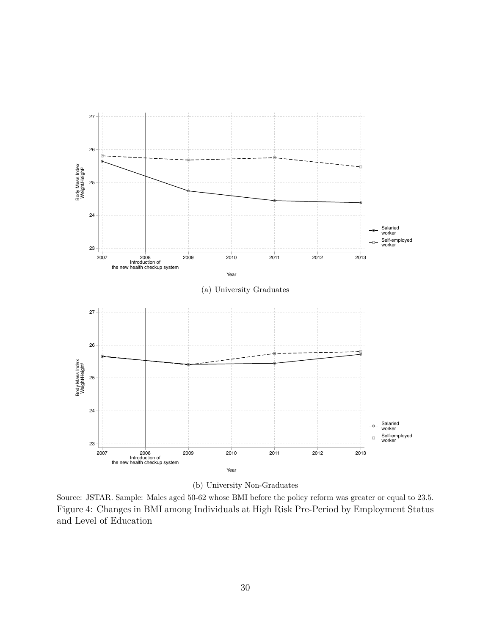<span id="page-30-0"></span>

(b) University Non-Graduates

Source: JSTAR. Sample: Males aged 50-62 whose BMI before the policy reform was greater or equal to 23.5. Figure 4: Changes in BMI among Individuals at High Risk Pre-Period by Employment Status and Level of Education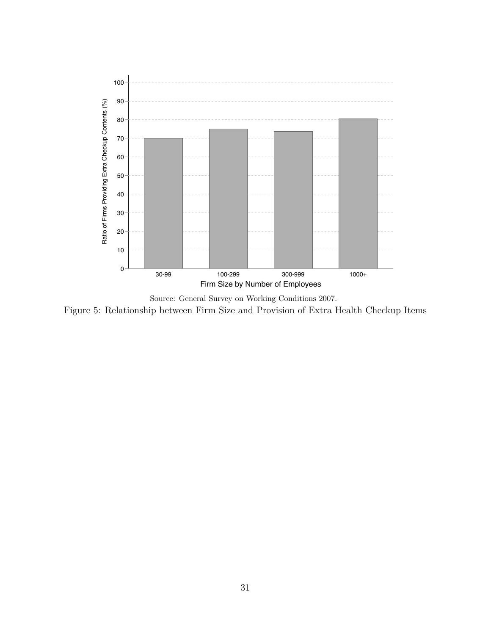<span id="page-31-0"></span>

Source: General Survey on Working Conditions 2007. Figure 5: Relationship between Firm Size and Provision of Extra Health Checkup Items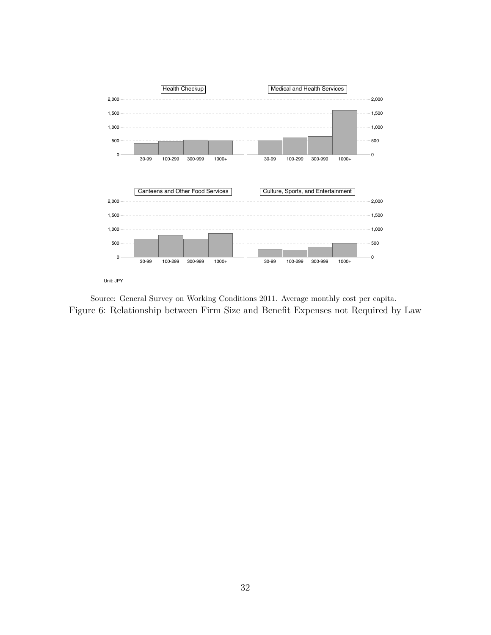<span id="page-32-0"></span>

Source: General Survey on Working Conditions 2011. Average monthly cost per capita. Figure 6: Relationship between Firm Size and Benefit Expenses not Required by Law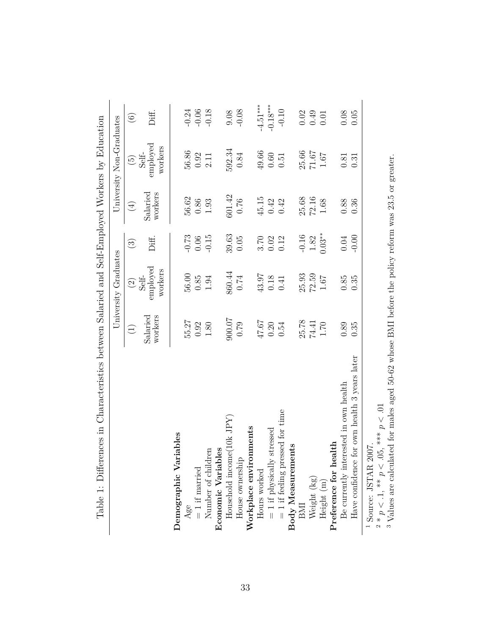| Table 1: Differences in Characteristics between Salaried and Self-Employed Workers by Education |                                   |                              |                           |                     |                              |                |
|-------------------------------------------------------------------------------------------------|-----------------------------------|------------------------------|---------------------------|---------------------|------------------------------|----------------|
|                                                                                                 |                                   | University Graduates         |                           |                     | University Non-Graduates     |                |
|                                                                                                 | $\begin{pmatrix} 1 \end{pmatrix}$ | $\widehat{\odot}$            | $\textcircled{\small{3}}$ | $\bigoplus$         | $\widetilde{\Theta}$         | $\odot$        |
|                                                                                                 | Salaried<br>workers               | employed<br>workers<br>Self- | Diff.                     | Salaried<br>workers | Self-<br>employed<br>workers | Diff.          |
| Demographic Variables                                                                           |                                   |                              |                           |                     |                              |                |
| Age                                                                                             | 55.27                             | $56.00$                      | $-0.73$                   | 56.62               | 56.86                        | $-0.24$        |
| $=$ if married<br>Number of children                                                            | 0.92                              | 0.85                         | 0.06                      | $0.86\,$            | 0.92                         | $-0.06$        |
|                                                                                                 | $1.80\,$                          | 1.94                         | $-0.15$                   | 1.93                | 2.11                         | $-0.18$        |
| Economic Variables                                                                              |                                   |                              |                           |                     |                              |                |
| Household income $(10k$ JPY)                                                                    | 900.07                            | 860.44                       | 39.63                     | 601.42              | 592.34                       | 9.08           |
| House ownership                                                                                 | 0.79                              | 0.74                         | 0.05                      | 0.76                | 0.84                         | $-0.08$        |
| Workplace environments                                                                          |                                   |                              |                           |                     |                              |                |
| Hours worked                                                                                    | 47.67                             | 43.97                        |                           | 45.15               | 49.66                        | $-4.51***$     |
|                                                                                                 | 0.20                              | 0.18                         | $3.70$<br>$0.02$          | 0.42                | $0.60\,$                     | $-0.18***$     |
| $=$ 1 if physically stressed<br>$=$ 1 if feeling pressed for time                               | 0.54                              | 0.41                         | 0.12                      | 0.42                | 0.51                         | $-0.10$        |
| $\begin{array}{c} \text{Body Measurements} \\ \text{BMI} \end{array}$                           |                                   |                              |                           |                     |                              |                |
|                                                                                                 | 25.78                             | 25.93                        | $-0.16$                   | 25.68               | 25.66                        |                |
| Weight (kg)                                                                                     | 74.41                             | 72.59                        | $1.82\,$                  | $72.16$             | $71.67\,$                    | $0.02$<br>0.49 |
| Height $(m)$                                                                                    | $1.70\,$                          | 1.67                         | $0.03**$                  | 1.68                | $1.67\,$                     | 0.01           |
| Preference for health                                                                           |                                   |                              |                           |                     |                              |                |
| Be currently interested in own health                                                           | 0.89                              | $0.85\,$                     | 0.04                      | 0.88                | 0.81                         | $0.08\,$       |
| 3 years later<br>Have confidence for own health                                                 | 0.35                              | 0.35                         | $-0.00$                   | 0.36                | 0.31                         | 0.05           |
| <sup>1</sup> Source: JSTAR 2007                                                                 |                                   |                              |                           |                     |                              |                |

 $\overline{F}$ ł,  $\overline{a}$  $\overline{M}$  $\overline{\phantom{a}}$  $\overline{d}$  Colf  $\overline{F}$ ,  $\frac{1}{2}$  $\frac{c}{2}$  $\frac{1}{4}$ l, Ŕ  $\ddot{\phantom{0}}$ Ĥ  $\tilde{\epsilon}$  $\ddot{\phantom{a}}$  $T_0$ bla 1. Diffa

<span id="page-33-0"></span> $\frac{1}{2}$  Source: JSTAR 2007.<br>2 \*  $n < 1$  \*\*  $n < 0.5$  `

 $\sim$   $\sim$ 

 $x^2 * p < 0.1$ ,  $x^2 > p < 0.05$ ,  $x^2 > p < 0.01$ <br>3 Values are calculated for males : Values are calculated for males aged 50-62 whose BMI before the policy reform was 23.5 or greater.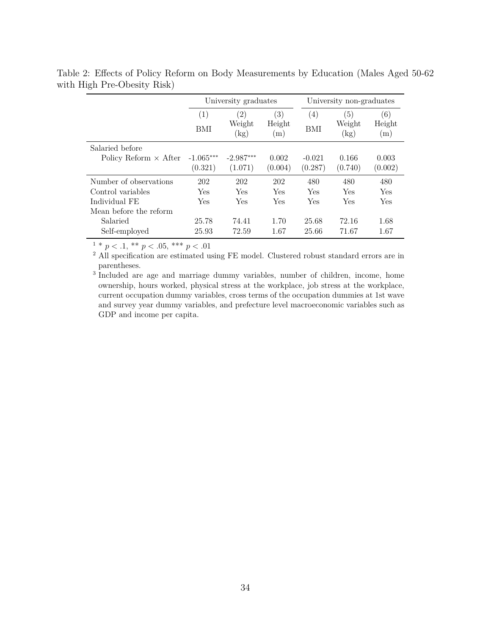|                                                                                        |                                 | University graduates                     |                      |                         | University non-graduates   |                      |
|----------------------------------------------------------------------------------------|---------------------------------|------------------------------------------|----------------------|-------------------------|----------------------------|----------------------|
|                                                                                        | $\left( 1\right)$<br><b>BMI</b> | $\left( 2\right)$<br>Weight<br>$\rm(kg)$ | (3)<br>Height<br>(m) | $\left(4\right)$<br>BMI | '5)<br>Weight<br>$\rm(kg)$ | (6)<br>Height<br>(m) |
| Salaried before<br>Policy Reform $\times$ After                                        | $-1.065***$<br>(0.321)          | $-2.987***$<br>(1.071)                   | 0.002<br>(0.004)     | $-0.021$<br>(0.287)     | 0.166<br>(0.740)           | 0.003<br>(0.002)     |
| Number of observations<br>Control variables<br>Individual FE<br>Mean before the reform | 202<br>Yes<br>Yes               | 202<br>Yes<br>Yes                        | 202<br>Yes<br>Yes    | 480<br>Yes<br>Yes       | 480<br>Yes<br>Yes          | 480<br>Yes<br>Yes    |
| Salaried<br>Self-employed                                                              | 25.78<br>25.93                  | 74.41<br>72.59                           | 1.70<br>1.67         | 25.68<br>25.66          | 72.16<br>71.67             | 1.68<br>1.67         |

<span id="page-34-0"></span>Table 2: Effects of Policy Reform on Body Measurements by Education (Males Aged 50-62 with High Pre-Obesity Risk)

 $1 * p < .1, ** p < .05, ** p < .01$ 

<sup>2</sup> All specification are estimated using FE model. Clustered robust standard errors are in parentheses.

<sup>3</sup> Included are age and marriage dummy variables, number of children, income, home ownership, hours worked, physical stress at the workplace, job stress at the workplace, current occupation dummy variables, cross terms of the occupation dummies at 1st wave and survey year dummy variables, and prefecture level macroeconomic variables such as GDP and income per capita.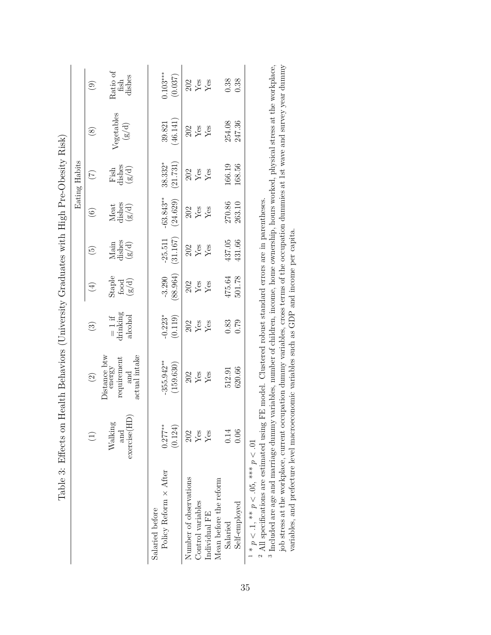|                                                                                                                                                                                                                                                                                                              |                               |                                                                        |                                 |                        |                          |                                  | Eating Habits           |                              |                                     |
|--------------------------------------------------------------------------------------------------------------------------------------------------------------------------------------------------------------------------------------------------------------------------------------------------------------|-------------------------------|------------------------------------------------------------------------|---------------------------------|------------------------|--------------------------|----------------------------------|-------------------------|------------------------------|-------------------------------------|
|                                                                                                                                                                                                                                                                                                              | $\widehat{\Xi}$               | $\widehat{c}$                                                          | $\odot$                         | $(\pm)$                | $\widetilde{\mathbf{e}}$ | $\overline{6}$                   | $(\overline{7})$        | (8)                          | $\widehat{\odot}$                   |
|                                                                                                                                                                                                                                                                                                              | exercise(HD<br>Walking<br>and | Distance btw<br>energy<br>actual intake<br>requirement<br>$_{\rm and}$ | drinking<br>alcohol<br>$= 1$ if | Staple<br>food<br>g/d) | Main<br>dishes<br>(g/d)  | Meat<br>dishes<br>$\binom{g}{d}$ | Fish<br>dishes<br>(g/d) | Vegetables<br>$\binom{g}{d}$ | Ratio of<br>dishes<br>$_{\rm fish}$ |
| Policy Reform $\times$ After<br>Salaried before                                                                                                                                                                                                                                                              | $0.277***$<br>(0.124)         | $-355.942**$<br>(159.630)                                              | $-0.223*$<br>(0.119)            | 88.964)<br>$-3.290$    | (31.167)<br>$-25.511$    | $-63.843**$<br>(24.629)          | (21.731)<br>38.332*     | (46.141)<br>39.821           | $0.103***$<br>(0.037)               |
| Number of observations                                                                                                                                                                                                                                                                                       | 202                           | 202                                                                    | 202                             | 202                    | 202                      | 202                              | 202                     | 202                          | 202                                 |
| Control variables                                                                                                                                                                                                                                                                                            | ${\rm Yes}$                   | Yes                                                                    | Yes                             | Yes                    | Yes                      | Yes                              | Yes                     | $\mathbf{Yes}$               | ${\rm Yes}$                         |
| Individual FE                                                                                                                                                                                                                                                                                                | Yes                           | Yes                                                                    | Yes                             | Yes                    | Yes                      | Yes                              | Yes                     | Yes                          | Yes                                 |
| Mean before the reform                                                                                                                                                                                                                                                                                       |                               |                                                                        |                                 |                        |                          |                                  |                         |                              |                                     |
| Salaried                                                                                                                                                                                                                                                                                                     | 0.14                          | 512.91                                                                 | 0.83                            | 475.64                 | 437.05                   | 270.86                           | 166.19                  | 254.08                       | 0.38                                |
| Self-employed                                                                                                                                                                                                                                                                                                | 0.06                          | 620.66                                                                 | 0.79                            | 501.78                 | 431.66                   | 263.10                           | 168.56                  | 247.36                       | 0.38                                |
| <sup>3</sup> Included are age and marriage dummy variables, number of children, income, home ownership, hours worked, physical stress at the workplace.<br>$^2$ All specifications are estimated using FE model. Clustered robust standard errors are in parentheses.<br>$1 * p < 1, ** p < .05,*** p < .01$ |                               |                                                                        |                                 |                        |                          |                                  |                         |                              |                                     |

 $^3$  Included are age and marriage dummy variables, number of children, income, home ownership, hours worked, physical stress at the workplace, job stress at the workplace, current occupation dummy variables, cross terms  $^3$  Included are age and marriage dummy variables, number of children, income, home ownership, hours worked, physical stress at the workplace, iob stress at the workplace, iob stress at the workplace, iob stress at the w job stress at the workplace, current occupation dummy variables, cross terms of the occupation dummies at 1st wave and survey year dummy

<span id="page-35-0"></span>variables, and prefecture level macroeconomic variables such as GDP and income per capita.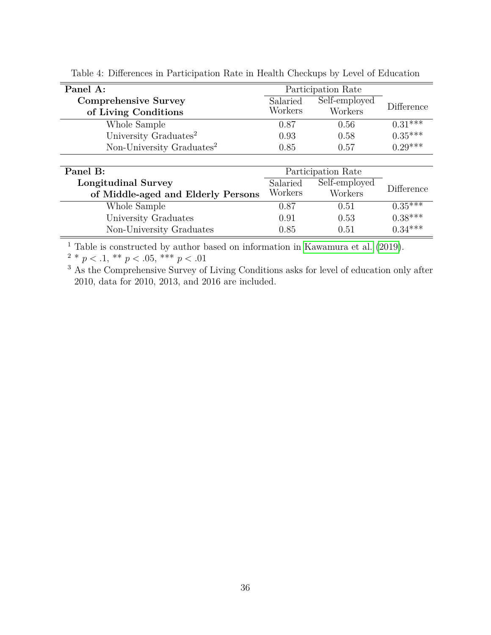| Panel A:                                            |                     | Participation Rate       |            |
|-----------------------------------------------------|---------------------|--------------------------|------------|
| <b>Comprehensive Survey</b><br>of Living Conditions | Salaried<br>Workers | Self-employed<br>Workers | Difference |
| Whole Sample                                        | 0.87                | 0.56                     | $0.31$ *** |
| University Graduates <sup>2</sup>                   | 0.93                | 0.58                     | $0.35***$  |
| Non-University Graduates <sup>2</sup>               | 0.85                | 0.57                     | $0.29***$  |
|                                                     |                     |                          |            |
| Panel B:                                            | Participation Rate  |                          |            |
| Longitudinal Survey                                 | Salaried            | Self-employed            | Difference |
| of Middle-aged and Elderly Persons                  | Workers             | Workers                  |            |
| Whole Sample                                        | 0.87                | 0.51                     | $0.35***$  |
| University Graduates                                | 0.91                | 0.53                     | $0.38***$  |
| Non-University Graduates                            | 0.85                | 0.51                     | $0.34***$  |

<span id="page-36-0"></span>Table 4: Differences in Participation Rate in Health Checkups by Level of Education

<sup>1</sup> Table is constructed by author based on information in [Kawamura et al. \(2019\)](#page-48-8).

 $2 * p < 0.1, * p < 0.05, ** p < 0.01$ 

<sup>3</sup> As the Comprehensive Survey of Living Conditions asks for level of education only after 2010, data for 2010, 2013, and 2016 are included.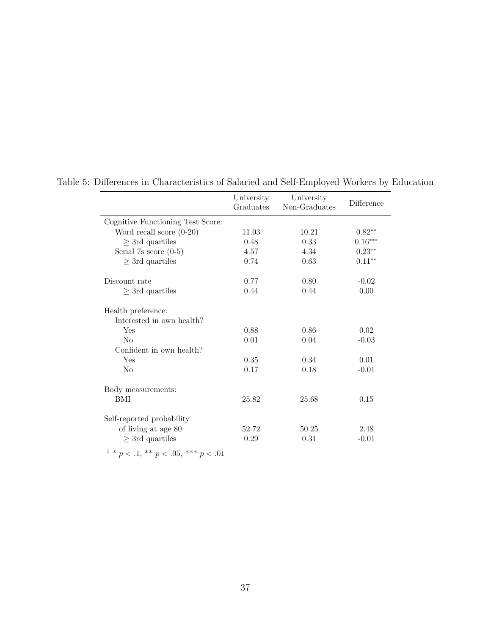|                                                 | University<br>Graduates | University<br>Non-Graduates | Difference |
|-------------------------------------------------|-------------------------|-----------------------------|------------|
| Cognitive Functioning Test Score:               |                         |                             |            |
| Word recall score $(0-20)$                      | 11.03                   | 10.21                       | $0.82**$   |
| $\geq$ 3rd quartiles                            | 0.48                    | 0.33                        | $0.16***$  |
| Serial 7s score $(0-5)$                         | 4.57                    | 4.34                        | $0.23**$   |
| $\geq$ 3rd quartiles                            | 0.74                    | 0.63                        | $0.11**$   |
| Discount rate                                   | 0.77                    | 0.80                        | $-0.02$    |
| $\geq$ 3rd quartiles                            | 0.44                    | 0.44                        | 0.00       |
| Health preference:<br>Interested in own health? |                         |                             |            |
| Yes                                             | 0.88                    | 0.86                        | 0.02       |
| $\rm No$                                        | 0.01                    | 0.04                        | $-0.03$    |
| Confident in own health?                        |                         |                             |            |
| Yes                                             | 0.35                    | 0.34                        | 0.01       |
| $\rm No$                                        | 0.17                    | 0.18                        | $-0.01$    |
| Body measurements:                              |                         |                             |            |
| BMI                                             | 25.82                   | 25.68                       | 0.15       |
| Self-reported probability                       |                         |                             |            |
| of living at age 80                             | 52.72                   | 50.25                       | 2.48       |
| $\geq$ 3rd quartiles                            | 0.29                    | 0.31                        | $-0.01$    |

<span id="page-37-0"></span>Table 5: Differences in Characteristics of Salaried and Self-Employed Workers by Education

 $1 * p < 0.1, * p < 0.05, ** p < 0.01$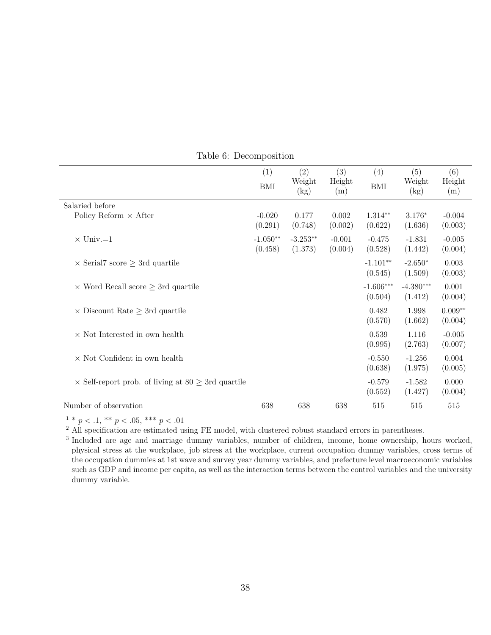<span id="page-38-0"></span>

|                                                                | (1)<br><b>BMI</b>     | $\left( 2\right)$<br>Weight<br>$\rm(kg)$ | (3)<br>Height<br>(m) | (4)<br><b>BMI</b>      | (5)<br>Weight<br>$\rm(kg)$ | (6)<br>Height<br>(m) |
|----------------------------------------------------------------|-----------------------|------------------------------------------|----------------------|------------------------|----------------------------|----------------------|
| Salaried before                                                |                       |                                          |                      |                        |                            |                      |
| Policy Reform $\times$ After                                   | $-0.020$<br>(0.291)   | 0.177<br>(0.748)                         | 0.002<br>(0.002)     | $1.314**$<br>(0.622)   | $3.176*$<br>(1.636)        | $-0.004$<br>(0.003)  |
| $\times$ Univ.=1                                               | $-1.050**$<br>(0.458) | $-3.253**$<br>(1.373)                    | $-0.001$<br>(0.004)  | $-0.475$<br>(0.528)    | $-1.831$<br>(1.442)        | $-0.005$<br>(0.004)  |
| $\times$ Serial7 score $\geq$ 3rd quartile                     |                       |                                          |                      | $-1.101**$<br>(0.545)  | $-2.650*$<br>(1.509)       | 0.003<br>(0.003)     |
| $\times$ Word Recall score $\geq$ 3rd quartile                 |                       |                                          |                      | $-1.606***$<br>(0.504) | $-4.380***$<br>(1.412)     | 0.001<br>(0.004)     |
| $\times$ Discount Rate $\geq$ 3rd quartile                     |                       |                                          |                      | 0.482<br>(0.570)       | 1.998<br>(1.662)           | $0.009**$<br>(0.004) |
| $\times$ Not Interested in own health                          |                       |                                          |                      | 0.539<br>(0.995)       | 1.116<br>(2.763)           | $-0.005$<br>(0.007)  |
| $\times$ Not Confident in own health                           |                       |                                          |                      | $-0.550$<br>(0.638)    | $-1.256$<br>(1.975)        | 0.004<br>(0.005)     |
| $\times$ Self-report prob. of living at 80 $\geq$ 3rd quartile |                       |                                          |                      | $-0.579$<br>(0.552)    | $-1.582$<br>(1.427)        | 0.000<br>(0.004)     |
| Number of observation                                          | 638                   | 638                                      | 638                  | 515                    | 515                        | 515                  |

Table 6: Decomposition

 $\frac{1 * p}{1 * p}$  < .1, \*\*  $p$  < .05, \*\*\*  $p$  < .01

<sup>2</sup> All specification are estimated using FE model, with clustered robust standard errors in parentheses.

<sup>3</sup> Included are age and marriage dummy variables, number of children, income, home ownership, hours worked, physical stress at the workplace, job stress at the workplace, current occupation dummy variables, cross terms of the occupation dummies at 1st wave and survey year dummy variables, and prefecture level macroeconomic variables such as GDP and income per capita, as well as the interaction terms between the control variables and the university dummy variable.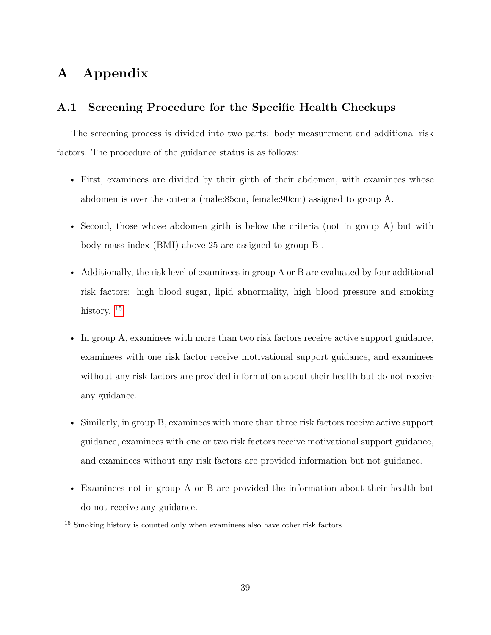# **A Appendix**

### **A.1 Screening Procedure for the Specific Health Checkups**

The screening process is divided into two parts: body measurement and additional risk factors. The procedure of the guidance status is as follows:

- First, examinees are divided by their girth of their abdomen, with examinees whose abdomen is over the criteria (male:85cm, female:90cm) assigned to group A.
- Second, those whose abdomen girth is below the criteria (not in group A) but with body mass index (BMI) above 25 are assigned to group B .
- Additionally, the risk level of examinees in group A or B are evaluated by four additional risk factors: high blood sugar, lipid abnormality, high blood pressure and smoking history.<sup>[15](#page-39-0)</sup>
- In group A, examinees with more than two risk factors receive active support guidance, examinees with one risk factor receive motivational support guidance, and examinees without any risk factors are provided information about their health but do not receive any guidance.
- Similarly, in group B, examinees with more than three risk factors receive active support guidance, examinees with one or two risk factors receive motivational support guidance, and examinees without any risk factors are provided information but not guidance.
- Examinees not in group A or B are provided the information about their health but do not receive any guidance.

<span id="page-39-0"></span><sup>&</sup>lt;sup>15</sup> Smoking history is counted only when examinees also have other risk factors.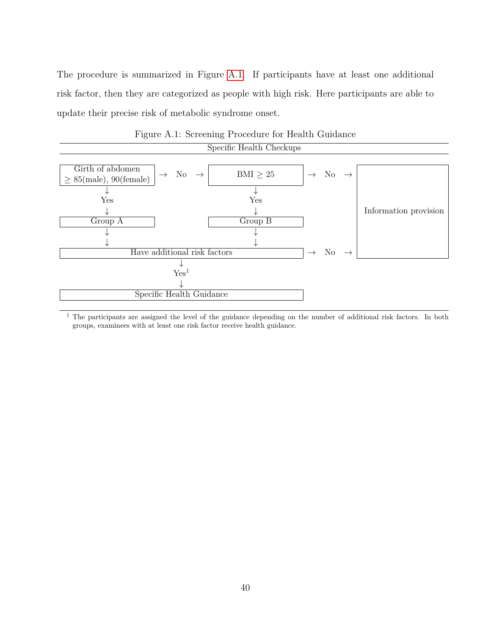The procedure is summarized in Figure [A.1.](#page-40-0) If participants have at least one additional risk factor, then they are categorized as people with high risk. Here participants are able to update their precise risk of metabolic syndrome onset.

<span id="page-40-0"></span>

|                                                 |                                   | Specific Health Checkups |               |                                |                       |
|-------------------------------------------------|-----------------------------------|--------------------------|---------------|--------------------------------|-----------------------|
|                                                 |                                   |                          |               |                                |                       |
| Girth of abdomen<br>$\geq$ 85(male), 90(female) | No $\rightarrow$<br>$\rightarrow$ | BMI $\geq 25$            | $\rightarrow$ | $\mathrm{No} \rightarrow$      |                       |
|                                                 |                                   |                          |               |                                |                       |
| Yes                                             |                                   | Yes                      |               |                                |                       |
|                                                 |                                   |                          |               |                                | Information provision |
| Group A                                         |                                   | Group B                  |               |                                |                       |
|                                                 |                                   |                          |               |                                |                       |
|                                                 |                                   |                          |               |                                |                       |
|                                                 | Have additional risk factors      |                          |               | $\rightarrow$ No $\rightarrow$ |                       |
|                                                 |                                   |                          |               |                                |                       |
|                                                 | Yes <sup>1</sup>                  |                          |               |                                |                       |
|                                                 |                                   |                          |               |                                |                       |
|                                                 | Specific Health Guidance          |                          |               |                                |                       |

Figure A.1: Screening Procedure for Health Guidance

<sup>1</sup> The participants are assigned the level of the guidance depending on the number of additional risk factors. In both groups, examinees with at least one risk factor receive health guidance.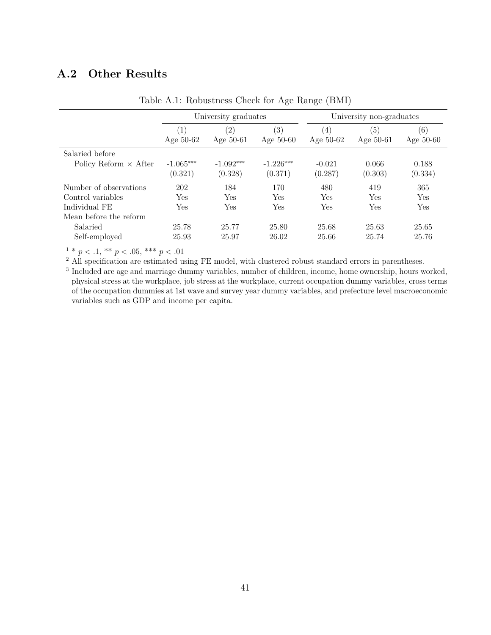## **A.2 Other Results**

<span id="page-41-0"></span>

|                              |                    | University graduates |                                  |                  | University non-graduates |                    |
|------------------------------|--------------------|----------------------|----------------------------------|------------------|--------------------------|--------------------|
|                              | (1)<br>Age $50-62$ | (2)<br>Age $50-61$   | $\left( 3\right)$<br>Age $50-60$ | (4)<br>Age 50-62 | (5)<br>Age 50-61         | (6)<br>Age $50-60$ |
| Salaried before              |                    |                      |                                  |                  |                          |                    |
| Policy Reform $\times$ After | $-1.065***$        | $-1.092***$          | $-1.226***$                      | $-0.021$         | 0.066                    | 0.188              |
|                              | (0.321)            | (0.328)              | (0.371)                          | (0.287)          | (0.303)                  | (0.334)            |
| Number of observations       | 202                | 184                  | 170                              | 480              | 419                      | 365                |
| Control variables            | Yes                | Yes                  | Yes                              | Yes              | Yes                      | Yes                |
| Individual FE                | Yes                | Yes                  | Yes                              | Yes              | Yes                      | Yes                |
| Mean before the reform       |                    |                      |                                  |                  |                          |                    |
| Salaried                     | 25.78              | 25.77                | 25.80                            | 25.68            | 25.63                    | 25.65              |
| Self-employed                | 25.93              | 25.97                | 26.02                            | 25.66            | 25.74                    | 25.76              |

Table A.1: Robustness Check for Age Range (BMI)

 $1 * p < 0.1, * p < 0.05, ** p < 0.01$ 

<sup>2</sup> All specification are estimated using FE model, with clustered robust standard errors in parentheses.

<sup>3</sup> Included are age and marriage dummy variables, number of children, income, home ownership, hours worked, physical stress at the workplace, job stress at the workplace, current occupation dummy variables, cross terms of the occupation dummies at 1st wave and survey year dummy variables, and prefecture level macroeconomic variables such as GDP and income per capita.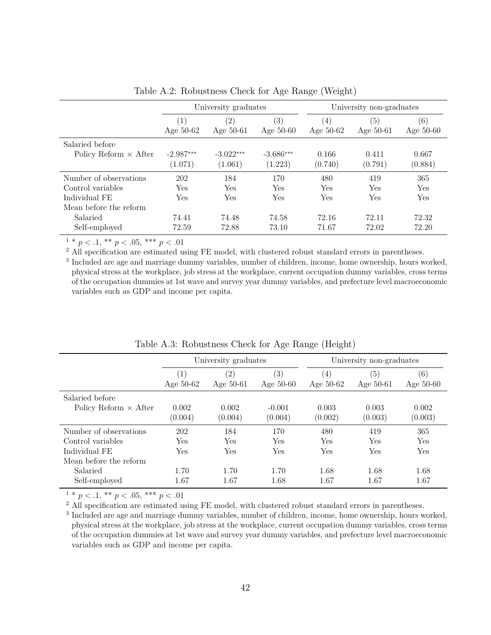<span id="page-42-0"></span>

|                              |                    | University graduates             |                    |                    | University non-graduates |                    |
|------------------------------|--------------------|----------------------------------|--------------------|--------------------|--------------------------|--------------------|
|                              | (1)<br>Age $50-62$ | $\left( 2\right)$<br>Age $50-61$ | (3)<br>Age $50-60$ | (4)<br>Age $50-62$ | (5)<br>Age 50-61         | (6)<br>Age $50-60$ |
| Salaried before              |                    |                                  |                    |                    |                          |                    |
| Policy Reform $\times$ After | $-2.987***$        | $-3.022***$                      | $-3.686***$        | 0.166              | 0.411                    | 0.667              |
|                              | (1.071)            | (1.061)                          | (1.223)            | (0.740)            | (0.791)                  | (0.884)            |
| Number of observations       | 202                | 184                              | 170                | 480                | 419                      | 365                |
| Control variables            | Yes                | Yes                              | Yes                | Yes                | Yes                      | Yes                |
| Individual FE                | Yes                | Yes                              | Yes                | Yes                | Yes                      | Yes                |
| Mean before the reform       |                    |                                  |                    |                    |                          |                    |
| Salaried                     | 74.41              | 74.48                            | 74.58              | 72.16              | 72.11                    | 72.32              |
| Self-employed                | 72.59              | 72.88                            | 73.10              | 71.67              | 72.02                    | 72.20              |

Table A.2: Robustness Check for Age Range (Weight)

 $1 * p < 0.1$ ,  $** p < 0.05$ ,  $*** p < 0.01$ 

<sup>2</sup> All specification are estimated using FE model, with clustered robust standard errors in parentheses.

<sup>3</sup> Included are age and marriage dummy variables, number of children, income, home ownership, hours worked, physical stress at the workplace, job stress at the workplace, current occupation dummy variables, cross terms of the occupation dummies at 1st wave and survey year dummy variables, and prefecture level macroeconomic variables such as GDP and income per capita.

<span id="page-42-1"></span>

|                              |                    | University graduates             |                                  |                    | University non-graduates |                    |
|------------------------------|--------------------|----------------------------------|----------------------------------|--------------------|--------------------------|--------------------|
|                              | (1)<br>Age $50-62$ | $\left( 2\right)$<br>Age $50-61$ | $\left( 3\right)$<br>Age $50-60$ | (4)<br>Age $50-62$ | (5)<br>Age $50-61$       | (6)<br>Age $50-60$ |
| Salaried before              |                    |                                  |                                  |                    |                          |                    |
| Policy Reform $\times$ After | 0.002<br>(0.004)   | 0.002<br>(0.004)                 | $-0.001$<br>(0.004)              | 0.003<br>(0.002)   | 0.003<br>(0.003)         | 0.002<br>(0.003)   |
| Number of observations       | 202                | 184                              | 170                              | 480                | 419                      | 365                |
| Control variables            | Yes                | <b>Yes</b>                       | Yes                              | Yes                | <b>Yes</b>               | Yes                |
| Individual FE                | Yes                | Yes                              | Yes                              | Yes                | Yes                      | Yes                |
| Mean before the reform       |                    |                                  |                                  |                    |                          |                    |
| Salaried                     | 1.70               | 1.70                             | 1.70                             | 1.68               | 1.68                     | 1.68               |
| Self-employed                | 1.67               | 1.67                             | 1.68                             | 1.67               | 1.67                     | 1.67               |

Table A.3: Robustness Check for Age Range (Height)

 $1 * p < 0.1, * p < 0.05, ** p < 0.01$ 

<sup>2</sup> All specification are estimated using FE model, with clustered robust standard errors in parentheses.

<sup>3</sup> Included are age and marriage dummy variables, number of children, income, home ownership, hours worked, physical stress at the workplace, job stress at the workplace, current occupation dummy variables, cross terms of the occupation dummies at 1st wave and survey year dummy variables, and prefecture level macroeconomic variables such as GDP and income per capita.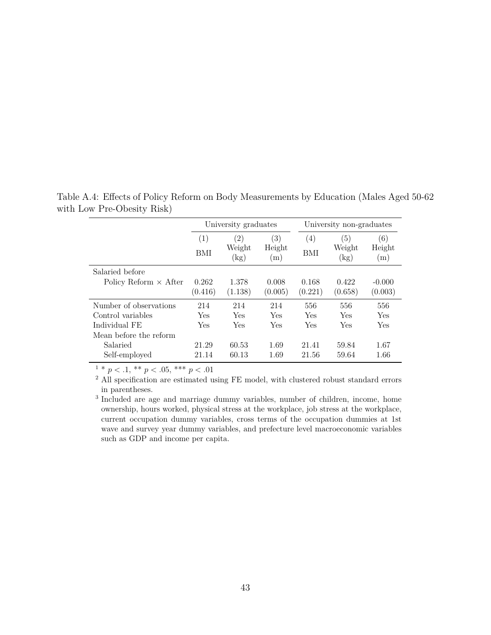|                                                                                        |                          | University graduates                     |                      |                          | University non-graduates            |                      |
|----------------------------------------------------------------------------------------|--------------------------|------------------------------------------|----------------------|--------------------------|-------------------------------------|----------------------|
|                                                                                        | $\left( 1\right)$<br>BMI | $\left( 2\right)$<br>Weight<br>$\rm(kg)$ | (3)<br>Height<br>(m) | $\left( 4\right)$<br>BMI | <sup>5</sup><br>Weight<br>$\rm(kg)$ | (6)<br>Height<br>(m) |
| Salaried before<br>Policy Reform $\times$ After                                        | 0.262<br>(0.416)         | 1.378<br>(1.138)                         | 0.008<br>(0.005)     | 0.168<br>(0.221)         | 0.422<br>(0.658)                    | $-0.000$<br>(0.003)  |
| Number of observations<br>Control variables<br>Individual FE<br>Mean before the reform | 214<br>Yes<br>Yes        | 214<br>Yes<br>Yes                        | 214<br>Yes<br>Yes    | 556<br>Yes<br>Yes        | 556<br>Yes<br>Yes                   | 556<br>Yes<br>Yes    |
| Salaried<br>Self-employed                                                              | 21.29<br>21.14           | 60.53<br>60.13                           | 1.69<br>1.69         | 21.41<br>21.56           | 59.84<br>59.64                      | 1.67<br>1.66         |

<span id="page-43-0"></span>Table A.4: Effects of Policy Reform on Body Measurements by Education (Males Aged 50-62 with Low Pre-Obesity Risk)

 $1 * p < 0.1, * p < 0.05, ** p < 0.01$ 

<sup>2</sup> All specification are estimated using FE model, with clustered robust standard errors in parentheses.

3 Included are age and marriage dummy variables, number of children, income, home ownership, hours worked, physical stress at the workplace, job stress at the workplace, current occupation dummy variables, cross terms of the occupation dummies at 1st wave and survey year dummy variables, and prefecture level macroeconomic variables such as GDP and income per capita.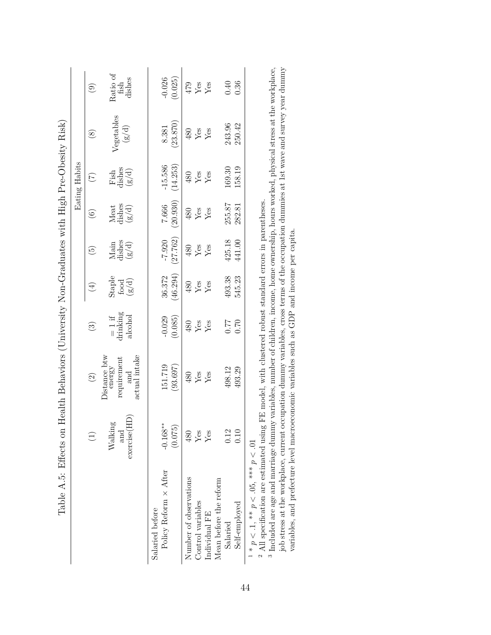|                                                                        |               | $\widehat{6}$           | Ratio of fish<br>dishes                                       | (0.025)<br>$-0.026$                             | 479                    | Yes<br>Yes                         |                        | 0.40<br>0.36              |                                                                                                                                                                                                                                                                                                              |
|------------------------------------------------------------------------|---------------|-------------------------|---------------------------------------------------------------|-------------------------------------------------|------------------------|------------------------------------|------------------------|---------------------------|--------------------------------------------------------------------------------------------------------------------------------------------------------------------------------------------------------------------------------------------------------------------------------------------------------------|
|                                                                        |               | $\circledast$           | Vegetables<br>(g/d)                                           | (23.870)<br>8.381                               | 480                    | ${\rm Yes}$<br>Yes                 |                        | 243.96<br>250.42          |                                                                                                                                                                                                                                                                                                              |
|                                                                        | Eating Habits | $(\widetilde{\zeta})$   | Fish<br>dishes<br>(g/d)                                       | $-15.586$<br>(14.253)                           | 480                    | Yes<br>Yes                         |                        | 169.30<br>158.19          |                                                                                                                                                                                                                                                                                                              |
|                                                                        |               | $\widehat{6}$           | Meat<br>dishes<br>(g/d)                                       | (20.930)<br>7.666                               | 480                    | Yes<br>Yes                         |                        | 255.87<br>282.81          |                                                                                                                                                                                                                                                                                                              |
|                                                                        |               | $\widehat{5}$           | Main<br>dishes<br>g/d)                                        | (27.762)<br>$-7.920$                            | 480                    | Yes<br>Yes                         |                        | 425.18<br>441.00          |                                                                                                                                                                                                                                                                                                              |
|                                                                        |               | $(\pm)$                 | Staple<br>$\frac{\text{food}}{\text{g/d)}}$                   | (46.294)<br>36.372                              | 480                    | Yes<br>Yes                         |                        | 493.38<br>545.23          |                                                                                                                                                                                                                                                                                                              |
|                                                                        |               | $\odot$                 | drinking<br>alcohol<br>$= 1$ if                               | (0.085)<br>$-0.029$                             | 480                    | Yes<br>Yes                         |                        | 0.70<br>0.77              |                                                                                                                                                                                                                                                                                                              |
| Health Behaviors (University Non-Graduates with High Pre-Obesity Risk) |               | $\widehat{\mathcal{O}}$ | Distance btw<br>actual intake<br>requirement<br>energy<br>and | 151.719<br>(93.697)                             | 480                    | Yes<br>Yes                         |                        | 498.12<br>493.29          |                                                                                                                                                                                                                                                                                                              |
|                                                                        |               | $\widehat{\Xi}$         | exercise(HD)<br>60<br>Walkin<br>and                           | $-0.168**$<br>(0.075)                           | 480                    | Yes<br>$Y$ es                      |                        | 0.12<br>0.10              |                                                                                                                                                                                                                                                                                                              |
| Table A.5: Effects on                                                  |               |                         |                                                               | Policy Reform $\times$ After<br>Salaried before | Number of observations | Control variables<br>Individual FE | Mean before the reform | Self-employed<br>Salaried | <sup>3</sup> Included are age and marriage dummy variables, number of children, income, home ownership, hours worked, physical stress at the workplace.<br>$^2$ All specification are estimated using FE model, with clustered robust standard errors in parentheses.<br>$1 * p < 1, ** p < .05,*** p < .01$ |

 $^3$  Included are age and marriage dummy variables, number of children, income, home ownership, hours worked, physical stress at the workplace, job stress at the workplace correction dummy variables, cross terms of the oc  $^3$  Included are age and marriage dummy variables, number of children, income, home ownership, hours worked, physical stress at the workplace, iob stress at the workplace, iob stress at the workplace, iob stress at the w job stress at the workplace, current occupation dummy variables, cross terms of the occupation dummies at 1st wave and survey year dummy<br>variables, and prefecture level macroeconomic variables such as GDP and income per ca variables, and prefecture level macroeconomic variables such as GDP and income per capita.

<span id="page-44-0"></span>44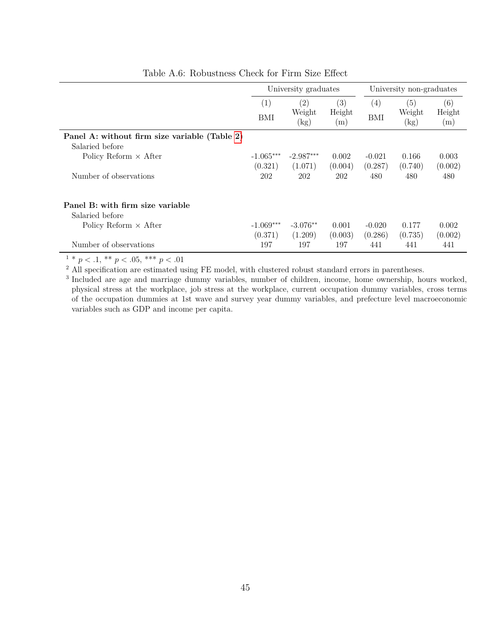<span id="page-45-0"></span>

|                                               |             | University graduates |               | University non-graduates |                     |               |
|-----------------------------------------------|-------------|----------------------|---------------|--------------------------|---------------------|---------------|
|                                               | (1)         | (2)                  | (3)           | $\left( 4\right)$        | (5)                 | (6)           |
|                                               | BMI         | Weight<br>$\rm(kg)$  | Height<br>(m) | BMI                      | Weight<br>$\rm(kg)$ | Height<br>(m) |
| Panel A: without firm size variable (Table 2) |             |                      |               |                          |                     |               |
| Salaried before                               |             |                      |               |                          |                     |               |
| Policy Reform $\times$ After                  | $-1.065***$ | $-2.987***$          | 0.002         | $-0.021$                 | 0.166               | 0.003         |
|                                               | (0.321)     | (1.071)              | (0.004)       | (0.287)                  | (0.740)             | (0.002)       |
| Number of observations                        | 202         | 202                  | 202           | 480                      | 480                 | 480           |
| Panel B: with firm size variable              |             |                      |               |                          |                     |               |
| Salaried before                               |             |                      |               |                          |                     |               |
| Policy Reform $\times$ After                  | $-1.069***$ | $-3.076**$           | 0.001         | $-0.020$                 | 0.177               | 0.002         |
|                                               | (0.371)     | (1.209)              | (0.003)       | (0.286)                  | (0.735)             | (0.002)       |
| Number of observations                        | 197         | 197                  | 197           | 441                      | 441                 | 441           |

Table A.6: Robustness Check for Firm Size Effect

 $1 * p < 0.1, * p < 0.05, ** p < 0.01$ 

<sup>2</sup> All specification are estimated using FE model, with clustered robust standard errors in parentheses.

<sup>3</sup> Included are age and marriage dummy variables, number of children, income, home ownership, hours worked, physical stress at the workplace, job stress at the workplace, current occupation dummy variables, cross terms of the occupation dummies at 1st wave and survey year dummy variables, and prefecture level macroeconomic variables such as GDP and income per capita.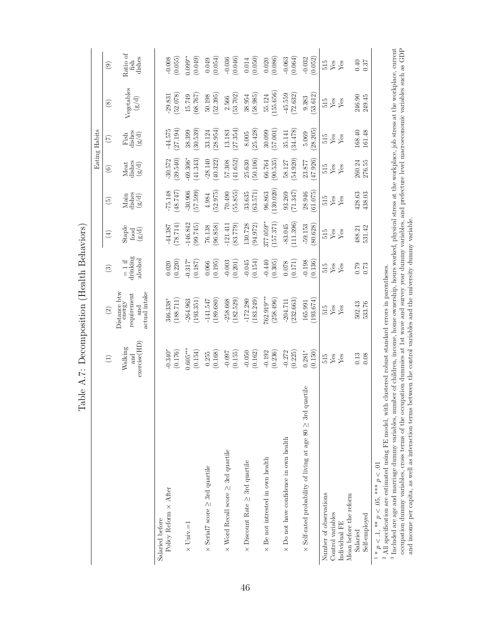| Ĥ                                                                             |                                | able A.7: Decomposition (Health Behaviors)                      |                                 |                                                                       |                         |                         |                                    |                                                     |                            |
|-------------------------------------------------------------------------------|--------------------------------|-----------------------------------------------------------------|---------------------------------|-----------------------------------------------------------------------|-------------------------|-------------------------|------------------------------------|-----------------------------------------------------|----------------------------|
|                                                                               |                                |                                                                 |                                 |                                                                       |                         |                         | Eating Habits                      |                                                     |                            |
|                                                                               | $\bigoplus$                    | $\widehat{\odot}$                                               | $\odot$                         | $\bigoplus$                                                           | $\widetilde{\Theta}$    | $\circledcirc$          | $\widetilde{\Xi}$                  | $\circledast$                                       | $\circledcirc$             |
|                                                                               | exercise(HD)<br>Walking<br>and | actual intake<br>$\rm Distance~bw$ energy<br>requirement<br>and | drinking<br>alcohol<br>$= 1$ if | $\begin{array}{l}{\rm Staple}\\ {\rm food}\\ ({\rm g/d}) \end{array}$ | Main<br>dishes<br>(g/d) | Meat<br>dishes<br>(g/d) | Fish<br>dishes<br>(g/d)            | Vegetables<br>$\left( \mathrm{g}/\mathrm{d}\right)$ | Ratio of<br>dishes<br>fish |
| Policy Reform $\times$ After<br>Salaried before                               | (0.176)<br>$-0.340*$           | (188.711)<br>346.338*                                           | (0.220)<br>0.020                | $-44.387$<br>(78.714)                                                 | $-75.148$<br>(48.747)   | (39.540)<br>$-30.572$   | $-44.575$<br>(27.194)              | (52.078)<br>$-29.831$                               | $-0.008$<br>(0.055)        |
| $\times$ Univ. $=1$                                                           | $0.605***$<br>(0.154)          | 264.963<br>(193.351)                                            | $-0.317*$<br>(0.187)            | 146.842<br>(99.745)                                                   | $-30.906$<br>(57.599)   | $-69.306*$<br>(41.343)  | (30.539)<br>38.399                 | (68.767)<br>15.749                                  | $0.099***$<br>(0.049)      |
| $\times$ Serial7 score $\geq$ 3rd quartile                                    | (0.168)<br>0.255               | $-141.547$<br>(189.680)                                         | $(0.066$<br>$(0.195)$           | (96.858)<br>76.138                                                    | (52.975)<br>4.984       | (40.322)<br>$-28.140$   | (28.954)<br>33.124                 | $50.198$<br>( $52.395$ )                            | $(0.049)$<br>$(0.054)$     |
| $\times$ Word Recall score $\geq$ 3rd quartile                                | $-0.097$<br>(0.155)            | (182.529)<br>$-258.668$                                         | $-0.003$<br>$(0.201)$           | $-121.411$<br>(83.779)                                                | (55.855)<br>70.490      | 41.652)<br>57.308       | (27.354)<br>13.183                 | (53.702)<br>2.566                                   | (0.046)<br>$-0.036$        |
| $\times$ Discount Rate $\geq$ 3rd quartile                                    | (0.162)<br>$-0.050$            | (183.249)<br>$-172.280$                                         | (0.154)<br>$-0.045$             | 130.728<br>(94.972)                                                   | (63.571)<br>33.635      | 50.106<br>25.630        | (25.428)<br>$8.005\,$              | (58.985)<br>38.954                                  | (0.050)<br>$\rm 0.014$     |
| $\times$ Be not intrested in own health                                       | $-0.192$<br>(0.236)            | 762.919***<br>(258.496)                                         | $-0.440$<br>(0.305)             | 377.059**<br>157.371)                                                 | (130.020)<br>96.863     | (90.535)<br>66.764      | 30.099<br>(57.001)                 | (155.656)<br>55.124                                 | (0.086)<br>$0.020\,$       |
| $\times$ Do not have confidence in own health                                 | $-0.272$<br>(0.225)            | (232.663)<br>$-204.711$                                         | $(0.171)$<br>(0.171)            | 111.396)<br>$-83.045$                                                 | (71.347)<br>93.269      | (54.920)<br>58.127      | (34.478)<br>35.141                 | (72.632)<br>$-45.559$                               | $-0.063$<br>$(0.064)$      |
| uartile<br>$\times$ Self-rated probability of living at age 80 $\geq$ 3rd $q$ | $0.281*$<br>(0.150)            | (193.674)<br>165.991                                            | $-0.198$<br>(0.136)             | $-59.153$<br>(80.628)                                                 | (61.075)<br>28.946      | 47.926)<br>23.877       | 28.205<br>5.069                    | (53.612)<br>9.383                                   | $-0.032$<br>(0.052)        |
| Number of observations<br>Control variables                                   | Yes<br>515                     | $515$<br>Yes                                                    | ${\rm Yes}$<br>515              | Yes<br>515                                                            | ${\rm Yes}$<br>515      | 515<br>Yes              | $\ensuremath{\mathrm{Yes}}$<br>515 | 515<br>Yes                                          | 515<br>Yes                 |
| Mean before the reform<br>Individual FE                                       | Yes                            | Yes                                                             | Yes                             | Yes                                                                   | Yes                     | Yes                     | Yes                                | Yes                                                 | Yes                        |
| Self-employed<br>Salaried                                                     | 0.13<br>0.08                   | 502.43<br>533.76                                                | $67.0$<br>0.73                  | 531.42<br>488.21                                                      | $428.63$<br>$438.03$    | 260.24<br>276.55        | 168.40<br>161.48                   | 246.90<br>249.45                                    | 0.40<br>0.37               |
| $1 * p < 1, ** p < 0.5,*** p < 0.1$                                           |                                |                                                                 |                                 |                                                                       |                         |                         |                                    |                                                     |                            |

<sup>1</sup> \*  $p < 1$ , \*\*  $p < .05$ , \*\*\*  $p < .01$ <br><sup>2</sup> All specification are estimated u

ని బ  $^2$  All specification are estimated using FE model, with clustered robust standard errors in parentheses. Included are age and marriage dummy variables, number of children, income, home ownership, hours v <sup>3</sup> Included are age and marriage dummy variables, number of children, income, home ownership, hours worked, physical stress at the workplace, job stress at the workplace, current occupation dummy variables, and correctiv occupation dummy variables, cross terms of the occupation dummies at 1st wave and survey year dummy variables, and prefecture level macroeconomic variables such as GDP<br>and income per capita, as well as interaction terms be and income per capita, as well as interaction terms between the control variables and the university dummy variable.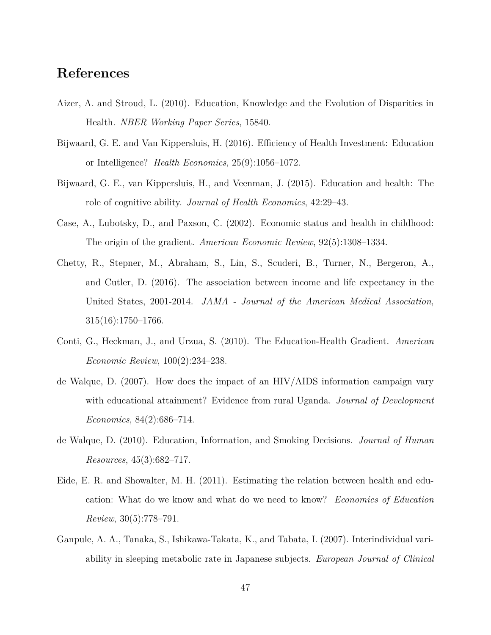## **References**

- <span id="page-47-3"></span>Aizer, A. and Stroud, L. (2010). Education, Knowledge and the Evolution of Disparities in Health. *NBER Working Paper Series*, 15840.
- <span id="page-47-6"></span>Bijwaard, G. E. and Van Kippersluis, H. (2016). Efficiency of Health Investment: Education or Intelligence? *Health Economics*, 25(9):1056–1072.
- <span id="page-47-5"></span>Bijwaard, G. E., van Kippersluis, H., and Veenman, J. (2015). Education and health: The role of cognitive ability. *Journal of Health Economics*, 42:29–43.
- <span id="page-47-7"></span>Case, A., Lubotsky, D., and Paxson, C. (2002). Economic status and health in childhood: The origin of the gradient. *American Economic Review*, 92(5):1308–1334.
- <span id="page-47-8"></span>Chetty, R., Stepner, M., Abraham, S., Lin, S., Scuderi, B., Turner, N., Bergeron, A., and Cutler, D. (2016). The association between income and life expectancy in the United States, 2001-2014. *JAMA - Journal of the American Medical Association*, 315(16):1750–1766.
- <span id="page-47-4"></span>Conti, G., Heckman, J., and Urzua, S. (2010). The Education-Health Gradient. *American Economic Review*, 100(2):234–238.
- <span id="page-47-1"></span>de Walque, D. (2007). How does the impact of an HIV/AIDS information campaign vary with educational attainment? Evidence from rural Uganda. *Journal of Development Economics*, 84(2):686–714.
- <span id="page-47-2"></span>de Walque, D. (2010). Education, Information, and Smoking Decisions. *Journal of Human Resources*, 45(3):682–717.
- <span id="page-47-0"></span>Eide, E. R. and Showalter, M. H. (2011). Estimating the relation between health and education: What do we know and what do we need to know? *Economics of Education Review*, 30(5):778–791.
- <span id="page-47-9"></span>Ganpule, A. A., Tanaka, S., Ishikawa-Takata, K., and Tabata, I. (2007). Interindividual variability in sleeping metabolic rate in Japanese subjects. *European Journal of Clinical*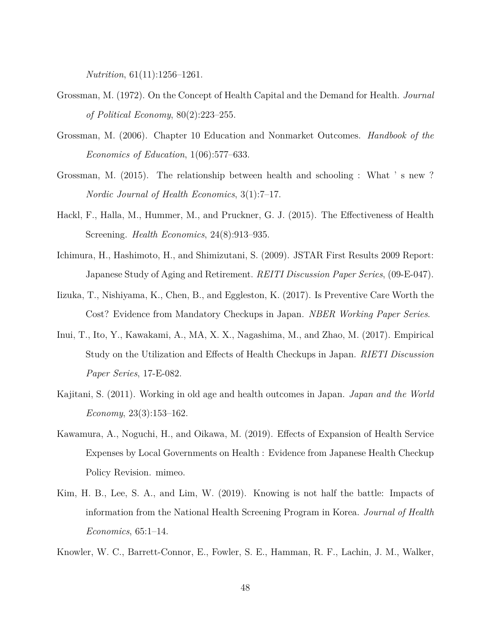*Nutrition*, 61(11):1256–1261.

- <span id="page-48-0"></span>Grossman, M. (1972). On the Concept of Health Capital and the Demand for Health. *Journal of Political Economy*, 80(2):223–255.
- <span id="page-48-1"></span>Grossman, M. (2006). Chapter 10 Education and Nonmarket Outcomes. *Handbook of the Economics of Education*, 1(06):577–633.
- <span id="page-48-2"></span>Grossman, M. (2015). The relationship between health and schooling : What ' s new ? *Nordic Journal of Health Economics*, 3(1):7–17.
- <span id="page-48-3"></span>Hackl, F., Halla, M., Hummer, M., and Pruckner, G. J. (2015). The Effectiveness of Health Screening. *Health Economics*, 24(8):913–935.
- <span id="page-48-9"></span>Ichimura, H., Hashimoto, H., and Shimizutani, S. (2009). JSTAR First Results 2009 Report: Japanese Study of Aging and Retirement. *REITI Discussion Paper Series*, (09-E-047).
- <span id="page-48-4"></span>Iizuka, T., Nishiyama, K., Chen, B., and Eggleston, K. (2017). Is Preventive Care Worth the Cost? Evidence from Mandatory Checkups in Japan. *NBER Working Paper Series*.
- <span id="page-48-5"></span>Inui, T., Ito, Y., Kawakami, A., MA, X. X., Nagashima, M., and Zhao, M. (2017). Empirical Study on the Utilization and Effects of Health Checkups in Japan. *RIETI Discussion Paper Series*, 17-E-082.
- <span id="page-48-10"></span>Kajitani, S. (2011). Working in old age and health outcomes in Japan. *Japan and the World Economy*, 23(3):153–162.
- <span id="page-48-8"></span>Kawamura, A., Noguchi, H., and Oikawa, M. (2019). Effects of Expansion of Health Service Expenses by Local Governments on Health : Evidence from Japanese Health Checkup Policy Revision. mimeo.
- <span id="page-48-6"></span>Kim, H. B., Lee, S. A., and Lim, W. (2019). Knowing is not half the battle: Impacts of information from the National Health Screening Program in Korea. *Journal of Health Economics*, 65:1–14.
- <span id="page-48-7"></span>Knowler, W. C., Barrett-Connor, E., Fowler, S. E., Hamman, R. F., Lachin, J. M., Walker,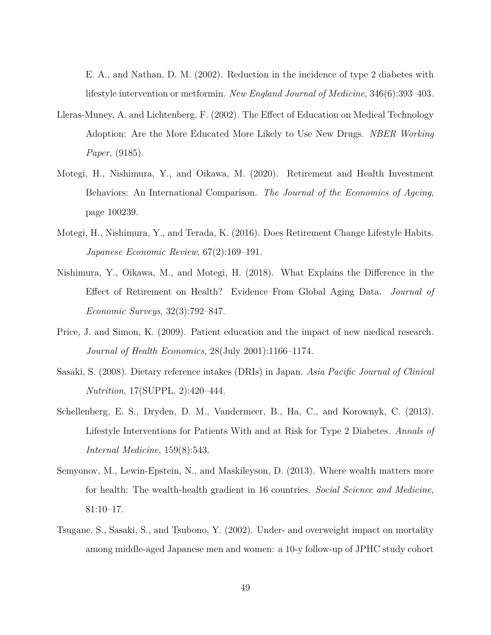E. A., and Nathan, D. M. (2002). Reduction in the incidence of type 2 diabetes with lifestyle intervention or metformin. *New England Journal of Medicine*, 346(6):393–403.

- <span id="page-49-0"></span>Lleras-Muney, A. and Lichtenberg, F. (2002). The Effect of Education on Medical Technology Adoption: Are the More Educated More Likely to Use New Drugs. *NBER Working Paper*, (9185).
- <span id="page-49-5"></span>Motegi, H., Nishimura, Y., and Oikawa, M. (2020). Retirement and Health Investment Behaviors: An International Comparison. *The Journal of the Economics of Ageing*, page 100239.
- <span id="page-49-4"></span>Motegi, H., Nishimura, Y., and Terada, K. (2016). Does Retirement Change Lifestyle Habits. *Japanese Economic Review*, 67(2):169–191.
- <span id="page-49-6"></span>Nishimura, Y., Oikawa, M., and Motegi, H. (2018). What Explains the Difference in the Effect of Retirement on Health? Evidence From Global Aging Data. *Journal of Economic Surveys*, 32(3):792–847.
- <span id="page-49-1"></span>Price, J. and Simon, K. (2009). Patient education and the impact of new medical research. *Journal of Health Economics*, 28(July 2001):1166–1174.
- <span id="page-49-8"></span>Sasaki, S. (2008). Dietary reference intakes (DRIs) in Japan. *Asia Pacific Journal of Clinical Nutrition*, 17(SUPPL. 2):420–444.
- <span id="page-49-2"></span>Schellenberg, E. S., Dryden, D. M., Vandermeer, B., Ha, C., and Korownyk, C. (2013). Lifestyle Interventions for Patients With and at Risk for Type 2 Diabetes. *Annals of Internal Medicine*, 159(8):543.
- <span id="page-49-3"></span>Semyonov, M., Lewin-Epstein, N., and Maskileyson, D. (2013). Where wealth matters more for health: The wealth-health gradient in 16 countries. *Social Science and Medicine*, 81:10–17.
- <span id="page-49-7"></span>Tsugane, S., Sasaki, S., and Tsubono, Y. (2002). Under- and overweight impact on mortality among middle-aged Japanese men and women: a 10-y follow-up of JPHC study cohort